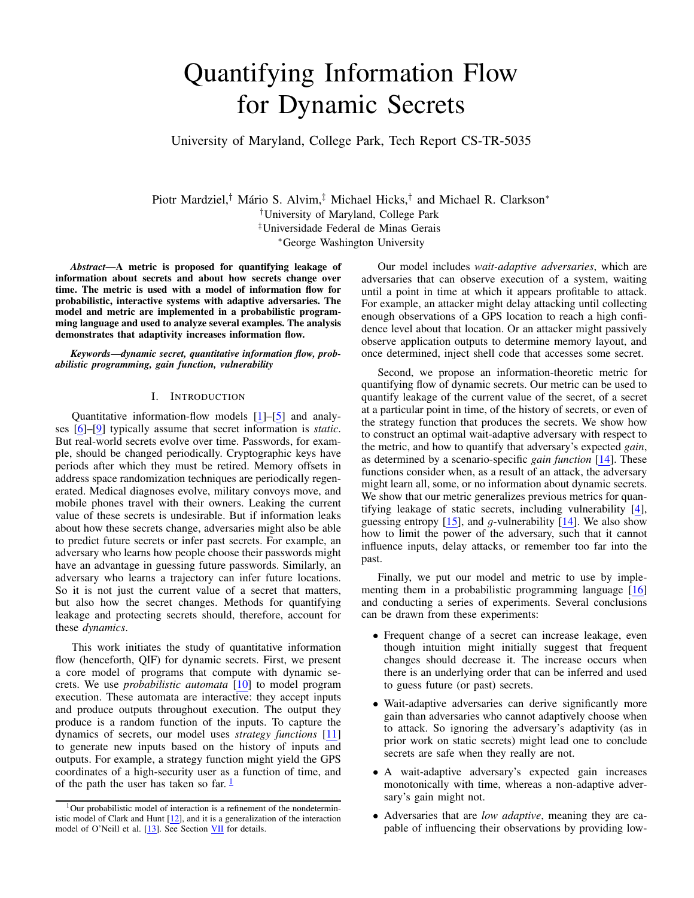# Quantifying Information Flow for Dynamic Secrets

University of Maryland, College Park, Tech Report CS-TR-5035

Piotr Mardziel,<sup>†</sup> Mário S. Alvim,<sup>‡</sup> Michael Hicks,<sup>†</sup> and Michael R. Clarkson<sup>∗</sup> †University of Maryland, College Park ‡Universidade Federal de Minas Gerais <sup>∗</sup>George Washington University

*Abstract*—A metric is proposed for quantifying leakage of information about secrets and about how secrets change over time. The metric is used with a model of information flow for probabilistic, interactive systems with adaptive adversaries. The model and metric are implemented in a probabilistic programming language and used to analyze several examples. The analysis demonstrates that adaptivity increases information flow.

*Keywords*—*dynamic secret, quantitative information flow, probabilistic programming, gain function, vulnerability*

# I. INTRODUCTION

Quantitative information-flow models [\[1\]](#page-15-0)–[\[5\]](#page-15-1) and analyses [\[6\]](#page-15-2)–[\[9\]](#page-15-3) typically assume that secret information is *static*. But real-world secrets evolve over time. Passwords, for example, should be changed periodically. Cryptographic keys have periods after which they must be retired. Memory offsets in address space randomization techniques are periodically regenerated. Medical diagnoses evolve, military convoys move, and mobile phones travel with their owners. Leaking the current value of these secrets is undesirable. But if information leaks about how these secrets change, adversaries might also be able to predict future secrets or infer past secrets. For example, an adversary who learns how people choose their passwords might have an advantage in guessing future passwords. Similarly, an adversary who learns a trajectory can infer future locations. So it is not just the current value of a secret that matters, but also how the secret changes. Methods for quantifying leakage and protecting secrets should, therefore, account for these *dynamics*.

This work initiates the study of quantitative information flow (henceforth, QIF) for dynamic secrets. First, we present a core model of programs that compute with dynamic secrets. We use *probabilistic automata* [\[10\]](#page-15-4) to model program execution. These automata are interactive: they accept inputs and produce outputs throughout execution. The output they produce is a random function of the inputs. To capture the dynamics of secrets, our model uses *strategy functions* [\[11\]](#page-15-5) to generate new inputs based on the history of inputs and outputs. For example, a strategy function might yield the GPS coordinates of a high-security user as a function of time, and of the path the user has taken so far.  $\frac{1}{2}$  $\frac{1}{2}$  $\frac{1}{2}$ 

Our model includes *wait-adaptive adversaries*, which are adversaries that can observe execution of a system, waiting until a point in time at which it appears profitable to attack. For example, an attacker might delay attacking until collecting enough observations of a GPS location to reach a high confidence level about that location. Or an attacker might passively observe application outputs to determine memory layout, and once determined, inject shell code that accesses some secret.

Second, we propose an information-theoretic metric for quantifying flow of dynamic secrets. Our metric can be used to quantify leakage of the current value of the secret, of a secret at a particular point in time, of the history of secrets, or even of the strategy function that produces the secrets. We show how to construct an optimal wait-adaptive adversary with respect to the metric, and how to quantify that adversary's expected *gain*, as determined by a scenario-specific *gain function* [\[14\]](#page-15-8). These functions consider when, as a result of an attack, the adversary might learn all, some, or no information about dynamic secrets. We show that our metric generalizes previous metrics for quantifying leakage of static secrets, including vulnerability [\[4\]](#page-15-9), guessing entropy  $[15]$ , and *q*-vulnerability  $[14]$ . We also show how to limit the power of the adversary, such that it cannot influence inputs, delay attacks, or remember too far into the past.

Finally, we put our model and metric to use by imple-menting them in a probabilistic programming language [\[16\]](#page-15-11) and conducting a series of experiments. Several conclusions can be drawn from these experiments:

- Frequent change of a secret can increase leakage, even though intuition might initially suggest that frequent changes should decrease it. The increase occurs when there is an underlying order that can be inferred and used to guess future (or past) secrets.
- Wait-adaptive adversaries can derive significantly more gain than adversaries who cannot adaptively choose when to attack. So ignoring the adversary's adaptivity (as in prior work on static secrets) might lead one to conclude secrets are safe when they really are not.
- A wait-adaptive adversary's expected gain increases monotonically with time, whereas a non-adaptive adversary's gain might not.
- Adversaries that are *low adaptive*, meaning they are capable of influencing their observations by providing low-

<span id="page-0-0"></span> $1$ Our probabilistic model of interaction is a refinement of the nondeterministic model of Clark and Hunt [\[12\]](#page-15-6), and it is a generalization of the interaction model of O'Neill et al. [\[13\]](#page-15-7). See Section [VII](#page-13-0) for details.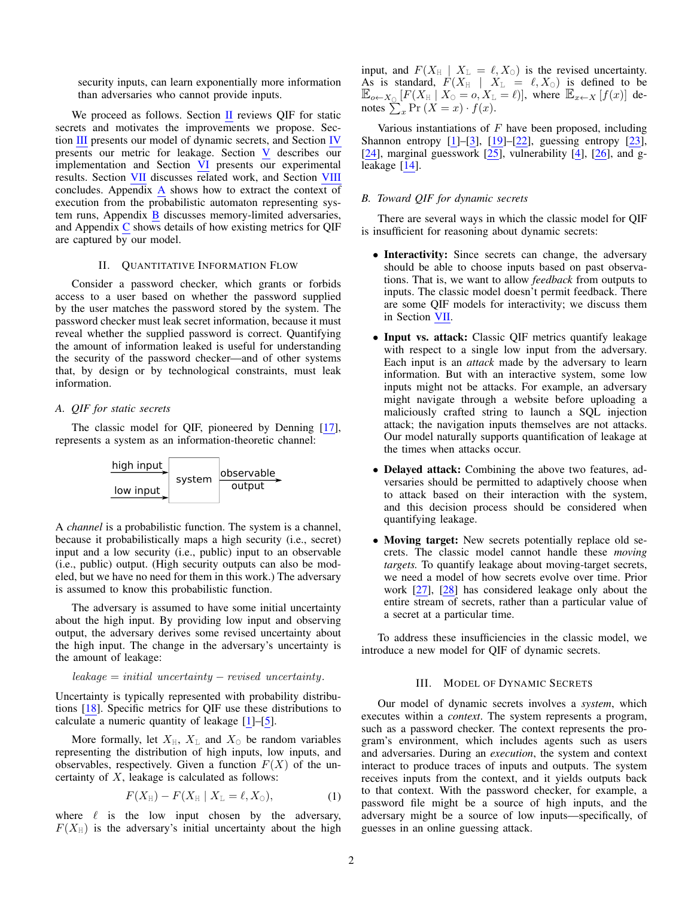security inputs, can learn exponentially more information than adversaries who cannot provide inputs.

We proceed as follows. Section  $\Pi$  reviews QIF for static secrets and motivates the improvements we propose. Section [III](#page-1-1) presents our model of dynamic secrets, and Section [IV](#page-4-0) presents our metric for leakage. Section [V](#page-8-0) describes our implementation and Section [VI](#page-9-0) presents our experimental results. Section [VII](#page-13-0) discusses related work, and Section [VIII](#page-14-0) concludes. Appendix [A](#page-16-0) shows how to extract the context of execution from the probabilistic automaton representing system runs, Appendix [B](#page-20-0) discusses memory-limited adversaries, and Appendix  $C$  shows details of how existing metrics for QIF are captured by our model.

#### II. QUANTITATIVE INFORMATION FLOW

<span id="page-1-0"></span>Consider a password checker, which grants or forbids access to a user based on whether the password supplied by the user matches the password stored by the system. The password checker must leak secret information, because it must reveal whether the supplied password is correct. Quantifying the amount of information leaked is useful for understanding the security of the password checker—and of other systems that, by design or by technological constraints, must leak information.

#### *A. QIF for static secrets*

The classic model for QIF, pioneered by Denning [\[17\]](#page-15-12), represents a system as an information-theoretic channel:



A *channel* is a probabilistic function. The system is a channel, because it probabilistically maps a high security (i.e., secret) input and a low security (i.e., public) input to an observable (i.e., public) output. (High security outputs can also be modeled, but we have no need for them in this work.) The adversary is assumed to know this probabilistic function.

The adversary is assumed to have some initial uncertainty about the high input. By providing low input and observing output, the adversary derives some revised uncertainty about the high input. The change in the adversary's uncertainty is the amount of leakage:

$$
leakage = initial\ uncertainty - revised\ uncertainty.
$$

Uncertainty is typically represented with probability distributions [\[18\]](#page-15-13). Specific metrics for QIF use these distributions to calculate a numeric quantity of leakage  $[1]$ – $[5]$ .

More formally, let  $X_H$ ,  $X_L$  and  $X_O$  be random variables representing the distribution of high inputs, low inputs, and observables, respectively. Given a function  $F(X)$  of the uncertainty of  $X$ , leakage is calculated as follows:

$$
F(X_{\mathbb{H}}) - F(X_{\mathbb{H}} \mid X_{\mathbb{L}} = \ell, X_{\mathbb{O}}), \tag{1}
$$

where  $\ell$  is the low input chosen by the adversary,  $F(X_H)$  is the adversary's initial uncertainty about the high input, and  $F(X_H \mid X_L = \ell, X_O)$  is the revised uncertainty. As is standard,  $F(X_H \mid X_L = \ell, X_O)$  is defined to be  $\mathbb{E}_{o \leftarrow X_O}[F(X_H \mid X_O = o, X_L = \ell)],$  where  $\mathbb{E}_{x \leftarrow X}[f(x)]$  denotes  $\sum_{x} \Pr(X = x) \cdot f(x)$ .

Various instantiations of  $F$  have been proposed, including Shannon entropy [\[1\]](#page-15-0)–[\[3\]](#page-15-14), [\[19\]](#page-15-15)–[\[22\]](#page-15-16), guessing entropy [\[23\]](#page-15-17), [\[24\]](#page-15-18), marginal guesswork [\[25\]](#page-15-19), vulnerability [\[4\]](#page-15-9), [\[26\]](#page-15-20), and gleakage [\[14\]](#page-15-8).

## *B. Toward QIF for dynamic secrets*

There are several ways in which the classic model for QIF is insufficient for reasoning about dynamic secrets:

- Interactivity: Since secrets can change, the adversary should be able to choose inputs based on past observations. That is, we want to allow *feedback* from outputs to inputs. The classic model doesn't permit feedback. There are some QIF models for interactivity; we discuss them in Section [VII.](#page-13-0)
- Input vs. attack: Classic QIF metrics quantify leakage with respect to a single low input from the adversary. Each input is an *attack* made by the adversary to learn information. But with an interactive system, some low inputs might not be attacks. For example, an adversary might navigate through a website before uploading a maliciously crafted string to launch a SQL injection attack; the navigation inputs themselves are not attacks. Our model naturally supports quantification of leakage at the times when attacks occur.
- Delayed attack: Combining the above two features, adversaries should be permitted to adaptively choose when to attack based on their interaction with the system, and this decision process should be considered when quantifying leakage.
- Moving target: New secrets potentially replace old secrets. The classic model cannot handle these *moving targets.* To quantify leakage about moving-target secrets, we need a model of how secrets evolve over time. Prior work [\[27\]](#page-15-21), [\[28\]](#page-15-22) has considered leakage only about the entire stream of secrets, rather than a particular value of a secret at a particular time.

To address these insufficiencies in the classic model, we introduce a new model for QIF of dynamic secrets.

### III. MODEL OF DYNAMIC SECRETS

<span id="page-1-1"></span>Our model of dynamic secrets involves a *system*, which executes within a *context*. The system represents a program, such as a password checker. The context represents the program's environment, which includes agents such as users and adversaries. During an *execution*, the system and context interact to produce traces of inputs and outputs. The system receives inputs from the context, and it yields outputs back to that context. With the password checker, for example, a password file might be a source of high inputs, and the adversary might be a source of low inputs—specifically, of guesses in an online guessing attack.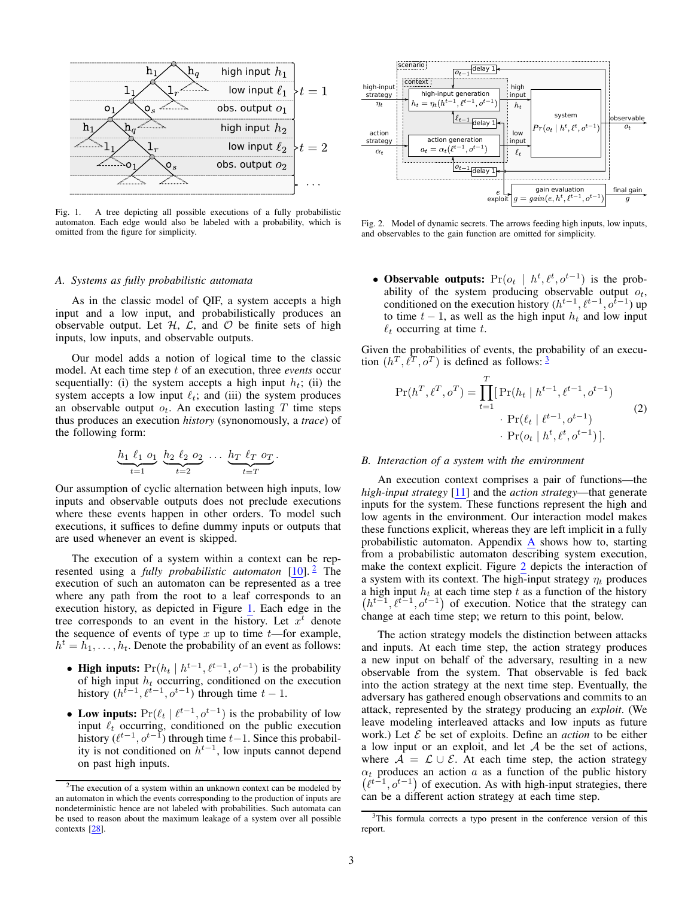

<span id="page-2-1"></span>Fig. 1. A tree depicting all possible executions of a fully probabilistic automaton. Each edge would also be labeled with a probability, which is omitted from the figure for simplicity.

#### *A. Systems as fully probabilistic automata*

As in the classic model of QIF, a system accepts a high input and a low input, and probabilistically produces an observable output. Let  $H$ ,  $\mathcal{L}$ , and  $\mathcal{O}$  be finite sets of high inputs, low inputs, and observable outputs.

Our model adds a notion of logical time to the classic model. At each time step t of an execution, three *events* occur sequentially: (i) the system accepts a high input  $h_t$ ; (ii) the system accepts a low input  $\ell_t$ ; and (iii) the system produces an observable output  $o_t$ . An execution lasting T time steps thus produces an execution *history* (synonomously, a *trace*) of the following form:

$$
\underbrace{h_1 \ell_1 \ o_1}_{t=1} \ \underbrace{h_2 \ell_2 \ o_2}_{t=2} \ \cdots \ \underbrace{h_T \ell_T \ o_T}_{t=T}.
$$

Our assumption of cyclic alternation between high inputs, low inputs and observable outputs does not preclude executions where these events happen in other orders. To model such executions, it suffices to define dummy inputs or outputs that are used whenever an event is skipped.

The execution of a system within a context can be represented using a *fully probabilistic automaton*  $[10]$ . <sup>[2](#page-2-0)</sup> The execution of such an automaton can be represented as a tree where any path from the root to a leaf corresponds to an execution history, as depicted in Figure [1.](#page-2-1) Each edge in the tree corresponds to an event in the history. Let  $x^t$  denote the sequence of events of type  $x$  up to time  $t$ —for example,  $h^t = \tilde{h}_1, \ldots, h_t$ . Denote the probability of an event as follows:

- High inputs:  $Pr(h_t | h^{t-1}, \ell^{t-1}, o^{t-1})$  is the probability of high input  $h_t$  occurring, conditioned on the execution history  $(h^{\bar{t}-1}, \ell^{t-1}, o^{t-1})$  through time  $t - 1$ .
- Low inputs:  $Pr(\ell_t | \ell^{t-1}, o^{t-1})$  is the probability of low input  $\ell_t$  occurring, conditioned on the public execution history  $(\ell^{t-1}, o^{t-1})$  through time  $t-1$ . Since this probability is not conditioned on  $h^{t-1}$ , low inputs cannot depend on past high inputs.



<span id="page-2-3"></span>Fig. 2. Model of dynamic secrets. The arrows feeding high inputs, low inputs, and observables to the gain function are omitted for simplicity.

• Observable outputs:  $Pr(o_t | h^t, \ell^t, o^{t-1})$  is the probability of the system producing observable output  $o_t$ , conditioned on the execution history  $(h^{t-1}, \ell^{t-1}, o^{\tilde{t}-1})$  up to time  $t - 1$ , as well as the high input  $h_t$  and low input  $\ell_t$  occurring at time t.

Given the probabilities of events, the probability of an execution  $(h^T, \ell^T, o^T)$  is defined as follows:  $\frac{3}{2}$  $\frac{3}{2}$  $\frac{3}{2}$ 

<span id="page-2-4"></span>
$$
\Pr(h^T, \ell^T, o^T) = \prod_{t=1}^T [\Pr(h_t \mid h^{t-1}, \ell^{t-1}, o^{t-1}) + \Pr(\ell_t \mid \ell^{t-1}, o^{t-1}) - \Pr(o_t \mid h^t, \ell^t, o^{t-1})].
$$
\n(2)

## *B. Interaction of a system with the environment*

An execution context comprises a pair of functions—the *high-input strategy* [\[11\]](#page-15-5) and the *action strategy*—that generate inputs for the system. These functions represent the high and low agents in the environment. Our interaction model makes these functions explicit, whereas they are left implicit in a fully probabilistic automaton. Appendix [A](#page-16-0) shows how to, starting from a probabilistic automaton describing system execution, make the context explicit. Figure [2](#page-2-3) depicts the interaction of a system with its context. The high-input strategy  $\eta_t$  produces a high input  $h_t$  at each time step t as a function of the history  $(h^{t-1}, \ell^{t-1}, o^{t-1})$  of execution. Notice that the strategy can change at each time step; we return to this point, below.

The action strategy models the distinction between attacks and inputs. At each time step, the action strategy produces a new input on behalf of the adversary, resulting in a new observable from the system. That observable is fed back into the action strategy at the next time step. Eventually, the adversary has gathered enough observations and commits to an attack, represented by the strategy producing an *exploit*. (We leave modeling interleaved attacks and low inputs as future work.) Let  $\mathcal E$  be set of exploits. Define an *action* to be either a low input or an exploit, and let  $A$  be the set of actions, where  $A = \mathcal{L} \cup \mathcal{E}$ . At each time step, the action strategy  $\alpha_t$  produces an action a as a function of the public history  $(t^{t-1}, o^{t-1})$  of execution. As with high-input strategies, there can be a different action strategy at each time step.

<span id="page-2-0"></span><sup>&</sup>lt;sup>2</sup>The execution of a system within an unknown context can be modeled by an automaton in which the events corresponding to the production of inputs are nondeterministic hence are not labeled with probabilities. Such automata can be used to reason about the maximum leakage of a system over all possible contexts [\[28\]](#page-15-22).

<span id="page-2-2"></span><sup>3</sup>This formula corrects a typo present in the conference version of this report.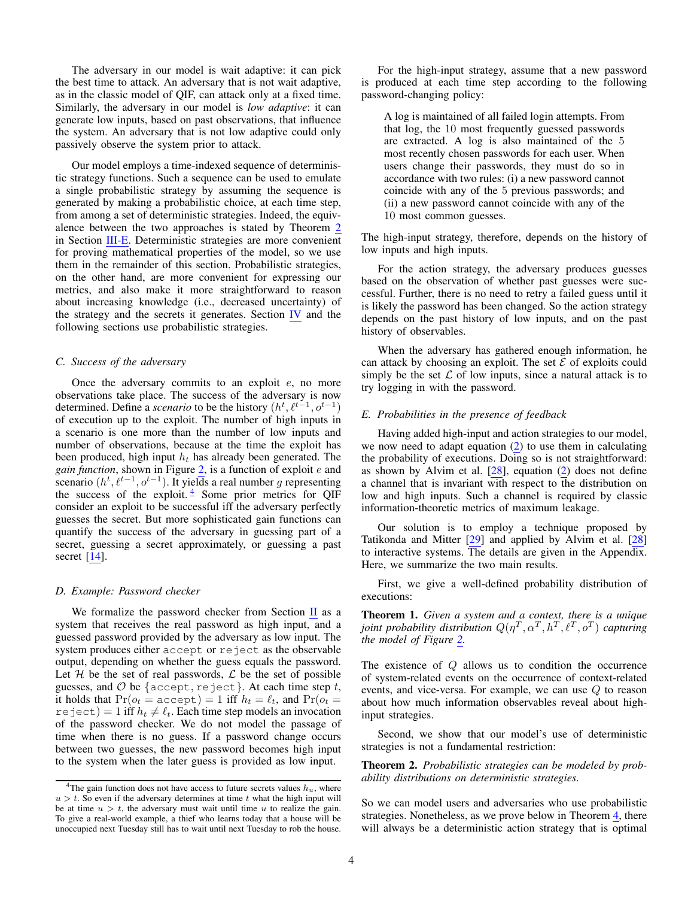The adversary in our model is wait adaptive: it can pick the best time to attack. An adversary that is not wait adaptive, as in the classic model of QIF, can attack only at a fixed time. Similarly, the adversary in our model is *low adaptive*: it can generate low inputs, based on past observations, that influence the system. An adversary that is not low adaptive could only passively observe the system prior to attack.

Our model employs a time-indexed sequence of deterministic strategy functions. Such a sequence can be used to emulate a single probabilistic strategy by assuming the sequence is generated by making a probabilistic choice, at each time step, from among a set of deterministic strategies. Indeed, the equivalence between the two approaches is stated by Theorem [2](#page-3-0) in Section [III-E.](#page-3-1) Deterministic strategies are more convenient for proving mathematical properties of the model, so we use them in the remainder of this section. Probabilistic strategies, on the other hand, are more convenient for expressing our metrics, and also make it more straightforward to reason about increasing knowledge (i.e., decreased uncertainty) of the strategy and the secrets it generates. Section [IV](#page-4-0) and the following sections use probabilistic strategies.

## *C. Success of the adversary*

Once the adversary commits to an exploit  $e$ , no more observations take place. The success of the adversary is now determined. Define a *scenario* to be the history  $(h^t, \ell^{t-1}, o^{t-1})$ of execution up to the exploit. The number of high inputs in a scenario is one more than the number of low inputs and number of observations, because at the time the exploit has been produced, high input  $h_t$  has already been generated. The *gain function*, shown in Figure [2,](#page-2-3) is a function of exploit e and scenario  $(h^t, \ell^{t-1}, o^{t-1})$ . It yields a real number g representing the success of the exploit.  $\frac{4}{5}$  $\frac{4}{5}$  $\frac{4}{5}$  Some prior metrics for QIF consider an exploit to be successful iff the adversary perfectly guesses the secret. But more sophisticated gain functions can quantify the success of the adversary in guessing part of a secret, guessing a secret approximately, or guessing a past secret  $[14]$ .

#### *D. Example: Password checker*

We formalize the password checker from Section [II](#page-1-0) as a system that receives the real password as high input, and a guessed password provided by the adversary as low input. The system produces either accept or reject as the observable output, depending on whether the guess equals the password. Let  $H$  be the set of real passwords,  $L$  be the set of possible guesses, and  $\mathcal O$  be {accept, reject}. At each time step t, it holds that  $Pr(o_t = accept) = 1$  iff  $h_t = \ell_t$ , and  $Pr(o_t =$ reject) = 1 iff  $h_t \neq \ell_t$ . Each time step models an invocation of the password checker. We do not model the passage of time when there is no guess. If a password change occurs between two guesses, the new password becomes high input to the system when the later guess is provided as low input.

For the high-input strategy, assume that a new password is produced at each time step according to the following password-changing policy:

A log is maintained of all failed login attempts. From that log, the 10 most frequently guessed passwords are extracted. A log is also maintained of the 5 most recently chosen passwords for each user. When users change their passwords, they must do so in accordance with two rules: (i) a new password cannot coincide with any of the 5 previous passwords; and (ii) a new password cannot coincide with any of the 10 most common guesses.

The high-input strategy, therefore, depends on the history of low inputs and high inputs.

For the action strategy, the adversary produces guesses based on the observation of whether past guesses were successful. Further, there is no need to retry a failed guess until it is likely the password has been changed. So the action strategy depends on the past history of low inputs, and on the past history of observables.

When the adversary has gathered enough information, he can attack by choosing an exploit. The set  $\mathcal E$  of exploits could simply be the set  $\mathcal L$  of low inputs, since a natural attack is to try logging in with the password.

#### <span id="page-3-1"></span>*E. Probabilities in the presence of feedback*

Having added high-input and action strategies to our model, we now need to adapt equation  $(2)$  to use them in calculating the probability of executions. Doing so is not straightforward: as shown by Alvim et al. [\[28\]](#page-15-22), equation [\(2\)](#page-2-4) does not define a channel that is invariant with respect to the distribution on low and high inputs. Such a channel is required by classic information-theoretic metrics of maximum leakage.

Our solution is to employ a technique proposed by Tatikonda and Mitter [\[29\]](#page-15-23) and applied by Alvim et al. [\[28\]](#page-15-22) to interactive systems. The details are given in the Appendix. Here, we summarize the two main results.

First, we give a well-defined probability distribution of executions:

<span id="page-3-3"></span>Theorem 1. *Given a system and a context, there is a unique joint probability distribution*  $Q(\eta^T, \alpha^T, h^T, \ell^T, o^T)$  *capturing the model of Figure [2.](#page-2-3)*

The existence of  $Q$  allows us to condition the occurrence of system-related events on the occurrence of context-related events, and vice-versa. For example, we can use Q to reason about how much information observables reveal about highinput strategies.

Second, we show that our model's use of deterministic strategies is not a fundamental restriction:

<span id="page-3-0"></span>Theorem 2. *Probabilistic strategies can be modeled by probability distributions on deterministic strategies.*

So we can model users and adversaries who use probabilistic strategies. Nonetheless, as we prove below in Theorem [4,](#page-6-0) there will always be a deterministic action strategy that is optimal

<span id="page-3-2"></span><sup>&</sup>lt;sup>4</sup>The gain function does not have access to future secrets values  $h_u$ , where  $u > t$ . So even if the adversary determines at time t what the high input will be at time  $u > t$ , the adversary must wait until time u to realize the gain. To give a real-world example, a thief who learns today that a house will be unoccupied next Tuesday still has to wait until next Tuesday to rob the house.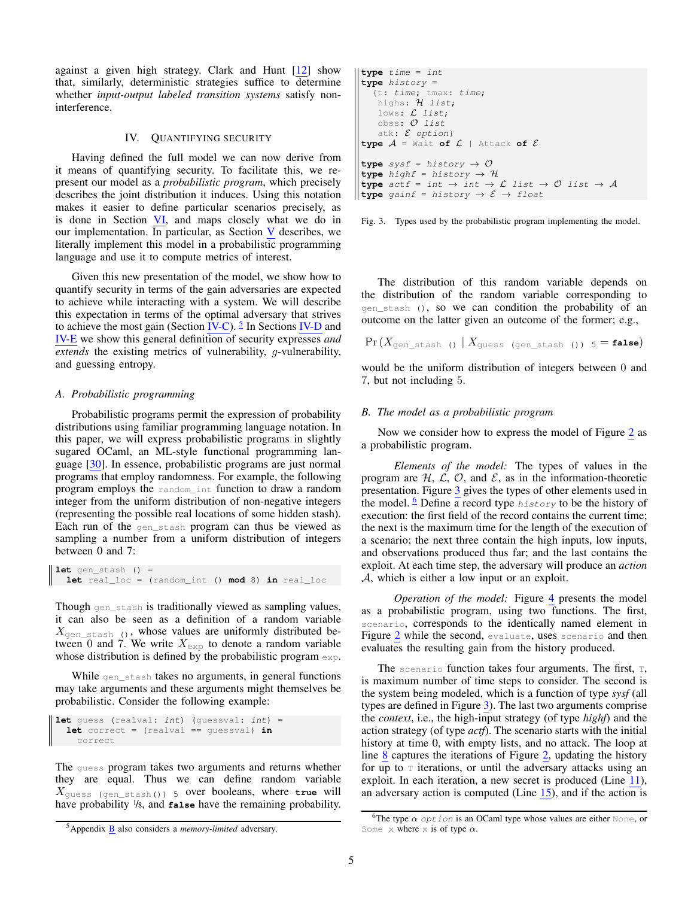against a given high strategy. Clark and Hunt [\[12\]](#page-15-6) show that, similarly, deterministic strategies suffice to determine whether *input-output labeled transition systems* satisfy noninterference.

## IV. QUANTIFYING SECURITY

<span id="page-4-0"></span>Having defined the full model we can now derive from it means of quantifying security. To facilitate this, we represent our model as a *probabilistic program*, which precisely describes the joint distribution it induces. Using this notation makes it easier to define particular scenarios precisely, as is done in Section [VI,](#page-9-0) and maps closely what we do in our implementation. In particular, as Section [V](#page-8-0) describes, we literally implement this model in a probabilistic programming language and use it to compute metrics of interest.

Given this new presentation of the model, we show how to quantify security in terms of the gain adversaries are expected to achieve while interacting with a system. We will describe this expectation in terms of the optimal adversary that strives to achieve the most gain (Section [IV-C\)](#page-5-0).  $\frac{5}{5}$  $\frac{5}{5}$  $\frac{5}{5}$  In Sections [IV-D](#page-7-0) and [IV-E](#page-8-1) we show this general definition of security expresses *and extends* the existing metrics of vulnerability, g-vulnerability, and guessing entropy.

#### *A. Probabilistic programming*

Probabilistic programs permit the expression of probability distributions using familiar programming language notation. In this paper, we will express probabilistic programs in slightly sugared OCaml, an ML-style functional programming language [\[30\]](#page-15-24). In essence, probabilistic programs are just normal programs that employ randomness. For example, the following program employs the random\_int function to draw a random integer from the uniform distribution of non-negative integers (representing the possible real locations of some hidden stash). Each run of the gen\_stash program can thus be viewed as sampling a number from a uniform distribution of integers between 0 and 7:

```
let gen_stash () =
let real_loc = (random_int () mod 8) in real_loc
```
Though gen\_stash is traditionally viewed as sampling values, it can also be seen as a definition of a random variable  $X_{\text{gen\_stash}}$  (), whose values are uniformly distributed between 0 and 7. We write  $X_{\text{exp}}$  to denote a random variable whose distribution is defined by the probabilistic program  $\exp$ .

While gen\_stash takes no arguments, in general functions may take arguments and these arguments might themselves be probabilistic. Consider the following example:

```
let guess (realval: int) (guessval: int)
  let correct = (realval == guessval) in
   correct
```
The guess program takes two arguments and returns whether they are equal. Thus we can define random variable Xguess (gen\_stash()) 5 over booleans, where **true** will have probability <sup>1</sup>/8, and **false** have the remaining probability.

```
type time = int
 type history =
    {t: time; tmax: time;
      highs: H list;
      lows: \mathcal{L} list;
      obss: O list
      atk: \mathcal E option}
 type A = \text{Wait of } L | Attack of Etype syst = history \rightarrow \mathcal{O}type highf = history → H
  type actf = int \rightarrow int \rightarrow \mathcal{L} list \rightarrow \mathcal{O} list \rightarrow \mathcal{A}type gainf = history \rightarrow \mathcal{E} \rightarrow float
```
<span id="page-4-2"></span>Fig. 3. Types used by the probabilistic program implementing the model.

The distribution of this random variable depends on the distribution of the random variable corresponding to gen\_stash (), so we can condition the probability of an outcome on the latter given an outcome of the former; e.g.,

$$
Pr(X_{gen\_stash (}) | X_{guess (gen\_stash ()}) 5 = false)
$$

would be the uniform distribution of integers between 0 and 7, but not including 5.

#### *B. The model as a probabilistic program*

Now we consider how to express the model of Figure [2](#page-2-3) as a probabilistic program.

*Elements of the model:* The types of values in the program are  $H, \mathcal{L}, \mathcal{O}$ , and  $\mathcal{E}$ , as in the information-theoretic presentation. Figure [3](#page-4-2) gives the types of other elements used in the model.  $\frac{6}{5}$  $\frac{6}{5}$  $\frac{6}{5}$  Define a record type *history* to be the history of execution: the first field of the record contains the current time; the next is the maximum time for the length of the execution of a scenario; the next three contain the high inputs, low inputs, and observations produced thus far; and the last contains the exploit. At each time step, the adversary will produce an *action* A, which is either a low input or an exploit.

*Operation of the model:* Figure [4](#page-5-1) presents the model as a probabilistic program, using two functions. The first, scenario, corresponds to the identically named element in Figure [2](#page-2-3) while the second, evaluate, uses scenario and then evaluates the resulting gain from the history produced.

The scenario function takes four arguments. The first,  $T$ , is maximum number of time steps to consider. The second is the system being modeled, which is a function of type *sysf* (all types are defined in Figure [3\)](#page-4-2). The last two arguments comprise the *context*, i.e., the high-input strategy (of type *highf*) and the action strategy (of type *actf*). The scenario starts with the initial history at time 0, with empty lists, and no attack. The loop at line [8](#page-5-2) captures the iterations of Figure [2,](#page-2-3) updating the history for up to  $\tau$  iterations, or until the adversary attacks using an exploit. In each iteration, a new secret is produced (Line [11\)](#page-5-3), an adversary action is computed (Line [15\)](#page-5-4), and if the action is

<span id="page-4-1"></span><sup>5</sup>Appendix [B](#page-20-0) also considers a *memory-limited* adversary.

<span id="page-4-3"></span><sup>&</sup>lt;sup>6</sup>The type  $\alpha$  option is an OCaml type whose values are either None, or Some x where x is of type  $\alpha$ .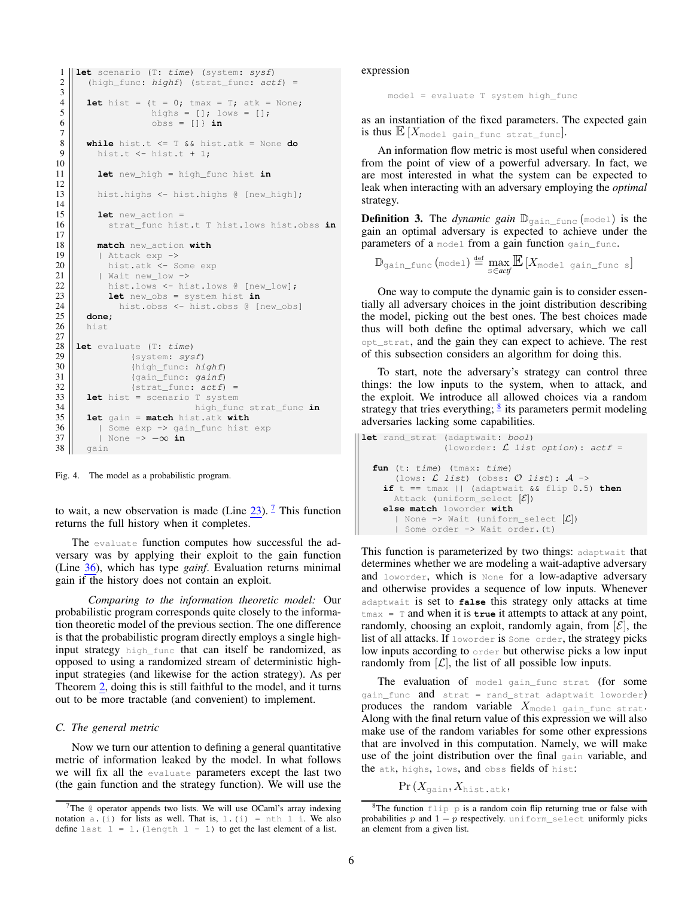```
1 let scenario (T: time) (system: sysf)<br>2 (high func: highf) (strat func: act
             (high_func: highf) (strat_func: actf) =
 \frac{3}{4}1 let hist = \{t = 0; \text{tmax} = T; \text{atk} = \text{None};<br>highs = []; \text{lows} = [];5 \parallel highs = []; lows = [];
  6 \parallel obss = []} in
  \frac{7}{8}\begin{array}{c|c|c|c|c|c} 8 & \textbf{while } \text{hist.t} <= \texttt{T} & & \text{hist.atk} = \texttt{None} & & \text{hist.t} <= \texttt{hist.t} + 1 \\ \end{array}hist.t \le hist.t + 1;
\begin{array}{c} 10 \\ 11 \end{array}1et new_high = high_func hist in
12
13 \parallel hist.highs \leq hist.highs @ [new_high];
14
\begin{array}{c|c} 15 & \text{let new-action} = \ \hline 16 & \text{strat\_func his} \end{array}strat_func hist.t T hist.lows hist.obss in
17
18 match new_action with<br>19 h + Attack exp ->
                 19 | Attack exp ->
\begin{array}{c|c|c|c|c} 20 & \text{hist.atk} <= & \text{Some } \exp \\ 21 & \text{Wait new low } \Rightarrow \end{array}\begin{array}{c|c|c|c} 21 & \text{Wait new\_low} \rightarrow \ \hline \end{array}22 hist.lows \leftarrow hist.lows @ [new_low];<br>23 let new obs = system hist in
23 let new_obs = system hist in<br>24 hist.obss <- hist.obss @ [r
24 hist.obss <- hist.obss @ [new\_obs]<br>25 done:
25 done;
            hist
27
\begin{array}{c|cc} 28 & \text{let evaluate} & (\text{I}: time) \\ 29 & & \text{(system: sys)} \end{array}\begin{array}{c|c} 29 & \text{(system: sysf)} \\ 30 & \text{(high\_func: hi)} \end{array}\begin{array}{c|c} 30 & \text{(high\_func: high}) \\ 31 & \text{(gain func: gain}) \end{array}\begin{array}{c|c} 31 & \text{(gain\_func: gainf)} \\ 32 & \text{(strat\_func: actf)} \end{array}\begin{array}{c|c} 32 & \text{(strat\_func: } actf) = \textbf{33} & \textbf{let} \text{ hist} = \text{scenario T system} \end{array}33 let hist = scenario T system
\begin{array}{c|c} 34 & \text{high\_func strat\_func in} \\ 35 & \text{let gain = match hist.atk with} \end{array}35 let gain = match hist.atk with
\begin{array}{|l|l|}\n 36 & \text{I} & \text{Some exp} \rightarrow \text{gain\_func hist exp} \\
 \hline\n 1 & \text{None} \rightarrow -\infty & \text{in}\n\end{array}\begin{array}{c|c} 37 & \text{I} \text{ None} \rightarrow -\infty \text{ in} \\ 38 & \text{gain} \end{array}gain
```
<span id="page-5-7"></span><span id="page-5-5"></span><span id="page-5-1"></span>Fig. 4. The model as a probabilistic program.

to wait, a new observation is made (Line  $23$ ). <sup>[7](#page-5-6)</sup> This function returns the full history when it completes.

The evaluate function computes how successful the adversary was by applying their exploit to the gain function (Line [36\)](#page-5-7), which has type *gainf*. Evaluation returns minimal gain if the history does not contain an exploit.

*Comparing to the information theoretic model:* Our probabilistic program corresponds quite closely to the information theoretic model of the previous section. The one difference is that the probabilistic program directly employs a single highinput strategy high\_func that can itself be randomized, as opposed to using a randomized stream of deterministic highinput strategies (and likewise for the action strategy). As per Theorem [2,](#page-3-0) doing this is still faithful to the model, and it turns out to be more tractable (and convenient) to implement.

## <span id="page-5-0"></span>*C. The general metric*

Now we turn our attention to defining a general quantitative metric of information leaked by the model. In what follows we will fix all the evaluate parameters except the last two (the gain function and the strategy function). We will use the

#### expression

model = evaluate T system high\_func

as an instantiation of the fixed parameters. The expected gain is thus  $\mathbb{E} [X_{\text{model gain\_func strat\_func}}].$ 

An information flow metric is most useful when considered from the point of view of a powerful adversary. In fact, we are most interested in what the system can be expected to leak when interacting with an adversary employing the *optimal* strategy.

<span id="page-5-9"></span>Definition 3. The *dynamic gain* Dgain\_func (model) is the gain an optimal adversary is expected to achieve under the parameters of a model from a gain function gain\_func.

$$
\mathbb{D}_{\text{gain\_func}}\left(\text{model}\right) \stackrel{\text{def}}{=} \max_{s \in \text{actf}} \mathbb{E}\left[X_{\text{model gain\_func s}}\right]
$$

One way to compute the dynamic gain is to consider essentially all adversary choices in the joint distribution describing the model, picking out the best ones. The best choices made thus will both define the optimal adversary, which we call opt\_strat, and the gain they can expect to achieve. The rest of this subsection considers an algorithm for doing this.

To start, note the adversary's strategy can control three things: the low inputs to the system, when to attack, and the exploit. We introduce all allowed choices via a random strategy that tries everything;  $\frac{8}{3}$  $\frac{8}{3}$  $\frac{8}{3}$  its parameters permit modeling adversaries lacking some capabilities.

```
let rand_strat (adaptwait: bool)
                 (loworder: L list option): actf =fun (t: time) (tmax: time)
       (lows: \mathcal L list) (obss: \mathcal O list): \mathcal A ->
     if t == tmax || (adaptwait && flip 0.5) then
       Attack (uniform_select [\mathcal{E}])
     else match loworder with
       | None -> Wait (uniform_select [L])
       | Some order -> Wait order.(t)
```
This function is parameterized by two things: adaptwait that determines whether we are modeling a wait-adaptive adversary and loworder, which is None for a low-adaptive adversary and otherwise provides a sequence of low inputs. Whenever adaptwait is set to **false** this strategy only attacks at time  $t$ max =  $t$  **and when it is true** it attempts to attack at any point, randomly, choosing an exploit, randomly again, from  $[\mathcal{E}]$ , the list of all attacks. If loworder is Some order, the strategy picks low inputs according to order but otherwise picks a low input randomly from  $[\mathcal{L}]$ , the list of all possible low inputs.

The evaluation of model gain\_func strat (for some gain\_func **and** strat = rand\_strat adaptwait loworder) produces the random variable  $X_{\text{model gain\_func strat}}$ . Along with the final return value of this expression we will also make use of the random variables for some other expressions that are involved in this computation. Namely, we will make use of the joint distribution over the final gain variable, and the atk, highs, lows, and obss fields of hist:

 $Pr(X_{\text{gain}}, X_{\text{hist.atk}},$ 

<span id="page-5-6"></span><sup>&</sup>lt;sup>7</sup>The  $\&$  operator appends two lists. We will use OCaml's array indexing notation a. (i) for lists as well. That is,  $l \cdot (i) = \text{nth } l \cdot i$ . We also define last  $l = l$ . (length  $l - 1$ ) to get the last element of a list.

<span id="page-5-8"></span><sup>&</sup>lt;sup>8</sup>The function  $f \perp \phi$  p is a random coin flip returning true or false with probabilities  $p$  and  $1 - p$  respectively. uniform\_select uniformly picks an element from a given list.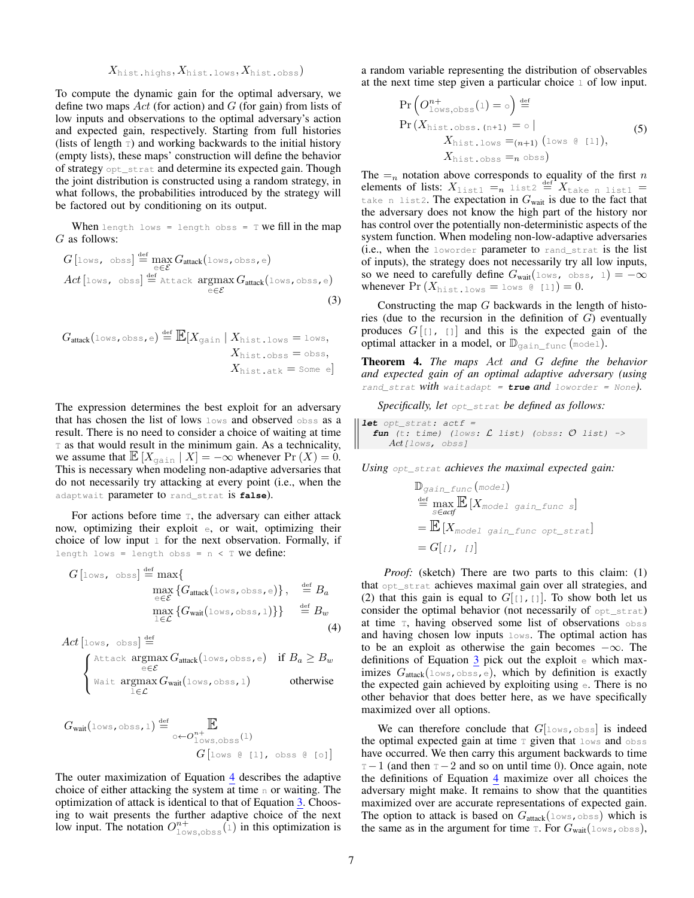$$
X_{\text{hist.highs}}, X_{\text{hist.lows}}, X_{\text{hist.obss}})
$$

To compute the dynamic gain for the optimal adversary, we define two maps  $Act$  (for action) and  $G$  (for gain) from lists of low inputs and observations to the optimal adversary's action and expected gain, respectively. Starting from full histories (lists of length  $\tau$ ) and working backwards to the initial history (empty lists), these maps' construction will define the behavior of strategy opt\_strat and determine its expected gain. Though the joint distribution is constructed using a random strategy, in what follows, the probabilities introduced by the strategy will be factored out by conditioning on its output.

When length lows = length obss = T we fill in the map G as follows:

<span id="page-6-2"></span>
$$
G\left[\text{loss, obs}\right] \stackrel{\text{def}}{=} \max_{e \in \mathcal{E}} G_{\text{attack}}\left(\text{loss, obs}\right, e)
$$
  
Act $\left[\text{loss, obs}\right] \stackrel{\text{def}}{=} \text{Attack} \operatorname{argmax}_{e \in \mathcal{E}} G_{\text{attack}}\left(\text{loss, obs}\right)$  (3)

$$
G_{\text{attack}}(\text{loss,} \cdot \text{obss, e}) \stackrel{\text{def}}{=} \mathbb{E}[X_{\text{gain}} \mid X_{\text{hist.} \cdot \text{loss}} = \text{loss},
$$
  

$$
X_{\text{hist.} \cdot \text{atsk}} = \text{some e}]
$$

The expression determines the best exploit for an adversary that has chosen the list of lows lows and observed obss as a result. There is no need to consider a choice of waiting at time  $T$  as that would result in the minimum gain. As a technicality, we assume that  $\mathbb{E}[X_{\text{gain}} | X] = -\infty$  whenever  $\Pr(X) = 0$ . This is necessary when modeling non-adaptive adversaries that do not necessarily try attacking at every point (i.e., when the adaptwait parameter to rand\_strat is **false**).

For actions before time  $\tau$ , the adversary can either attack now, optimizing their exploit e, or wait, optimizing their choice of low input  $\perp$  for the next observation. Formally, if length lows = length obss =  $n < T$  we define:

<span id="page-6-1"></span>
$$
G\left[\text{loss, obs}\right] \stackrel{\text{def}}{=} \max\left\{\max_{e \in \mathcal{E}} \{G_{\text{attack}}(\text{loss, obs}, e)\}, \begin{array}{c} \stackrel{\text{def}}{=} B_a\\ \stackrel{\text{max}}{=} \{G_{\text{attack}}(\text{loss, obs}, 1)\}\} \end{array}
$$
\n
$$
\max_{1 \in \mathcal{L}} \{G_{\text{wait}}(\text{loss, obs}, 1)\}\} \quad \stackrel{\text{def}}{=} B_w
$$
\n(4)

$$
Act\left[\text{loss, obss}\right] \stackrel{\text{def}}{=} \left\{\n\begin{array}{ll}\n\text{Attrack argmax}\,G_{\text{attack}}\left(\text{loss, obss, e}\right) & \text{if } B_a \geq B_w \\
\text{atlock argmax}\,G_{\text{attack}}\left(\text{loss, obss, e}\right) & \text{if } B_a \geq B_w\n\end{array}\n\right.
$$

$$
\left\{\begin{array}{ll}\text{Wait argmax } G_{\text{wait}}(1 \text{ows}, \text{obs } s, 1) & \text{otherwise} \\\text{let } G \end{array}\right.
$$

$$
G_{wait}(\text{loss,obss,1}) \stackrel{\text{def}}{=} \mathbb{E}_{O \leftarrow O_{\text{loss,obss}}^{n+}}(1)
$$
  

$$
G[\text{loss } \text{[] } [1], \text{obs } \text{[] } [0]]
$$

The outer maximization of Equation [4](#page-6-1) describes the adaptive choice of either attacking the system at time n or waiting. The optimization of attack is identical to that of Equation [3.](#page-6-2) Choosing to wait presents the further adaptive choice of the next low input. The notation  $O_{\text{loss,obs}}^{n+}(\mathbf{1})$  in this optimization is a random variable representing the distribution of observables at the next time step given a particular choice  $\perp$  of low input.

<span id="page-6-3"></span>
$$
\Pr\left(O_{\text{lows,obss}}^{n+}(1) = \circ\right) \stackrel{\text{def}}{=} \\
\Pr\left(X_{\text{hist.obss. (n+1)}} = \circ\middle| \right. \\
X_{\text{hist.loss}} = (n+1) \text{ (loss } (11)), \\
X_{\text{hist.obss}} = n \text{ obs})
$$
\n(5)

The  $=n$  notation above corresponds to equality of the first n elements of lists:  $X_{\text{list1}} = \overline{n}$  list2  $\stackrel{\text{def}}{=} X_{\text{take n list1}} =$ take n list2. The expectation in  $G_{\mathrm{wait}}$  is due to the fact that the adversary does not know the high part of the history nor has control over the potentially non-deterministic aspects of the system function. When modeling non-low-adaptive adversaries (i.e., when the loworder parameter to rand\_strat is the list of inputs), the strategy does not necessarily try all low inputs, so we need to carefully define  $G_{wait}(\text{loss}, \text{obs}, 1) = -\infty$ whenever  $Pr(X_{hist.\,lows} = lows \& [1]) = 0.$ 

Constructing the map  $G$  backwards in the length of histories (due to the recursion in the definition of  $G$ ) eventually produces  $G[[1, 1]]$  and this is the expected gain of the optimal attacker in a model, or  $\mathbb{D}_{\text{gain\_func}}$  (model).

<span id="page-6-0"></span>Theorem 4. *The maps* Act *and* G *define the behavior and expected gain of an optimal adaptive adversary (using* rand\_strat *with* waitadapt = **true** *and* loworder = None*).*

*Specifically, let* opt\_strat *be defined as follows:*

```
\parallel let opt_strat: actf =fun (t: time) (lows: L list) (obss: O list) ->
      Act[lows, obss]
```
*Using* opt\_strat *achieves the maximal expected gain:*

$$
\begin{aligned} \mathbb{D}_{gain\_func} \left( \text{model} \right) \\ & \stackrel{\text{def}}{=} \max_{s \in \text{actf}} \mathbb{E} \left[ X_{\text{model gain\_func s}} \right] \\ & = \mathbb{E} \left[ X_{\text{model gain\_func opt\_strat}} \right] \\ & = G \left[ I \right, I \right] \end{aligned}
$$

*Proof:* (sketch) There are two parts to this claim: (1) that opt\_strat achieves maximal gain over all strategies, and (2) that this gain is equal to  $G[[] ,[] ]$ . To show both let us consider the optimal behavior (not necessarily of opt\_strat) at time T, having observed some list of observations obss and having chosen low inputs lows. The optimal action has to be an exploit as otherwise the gain becomes  $-\infty$ . The definitions of Equation  $\frac{3}{2}$  $\frac{3}{2}$  $\frac{3}{2}$  pick out the exploit  $\epsilon$  which maximizes  $G_{\text{attack}}(\text{loss, obs}, e)$ , which by definition is exactly the expected gain achieved by exploiting using e. There is no other behavior that does better here, as we have specifically maximized over all options.

We can therefore conclude that  $G[\text{loss},\text{obss}]$  is indeed the optimal expected gain at time  $T$  given that lows and obss have occurred. We then carry this argument backwards to time  $T-1$  (and then  $T-2$  and so on until time 0). Once again, note the definitions of Equation [4](#page-6-1) maximize over all choices the adversary might make. It remains to show that the quantities maximized over are accurate representations of expected gain. The option to attack is based on  $G_{\text{attack}}(\text{loss, obs})$  which is the same as in the argument for time  $T$ . For  $G_{wait}(\text{loss, obs})$ ,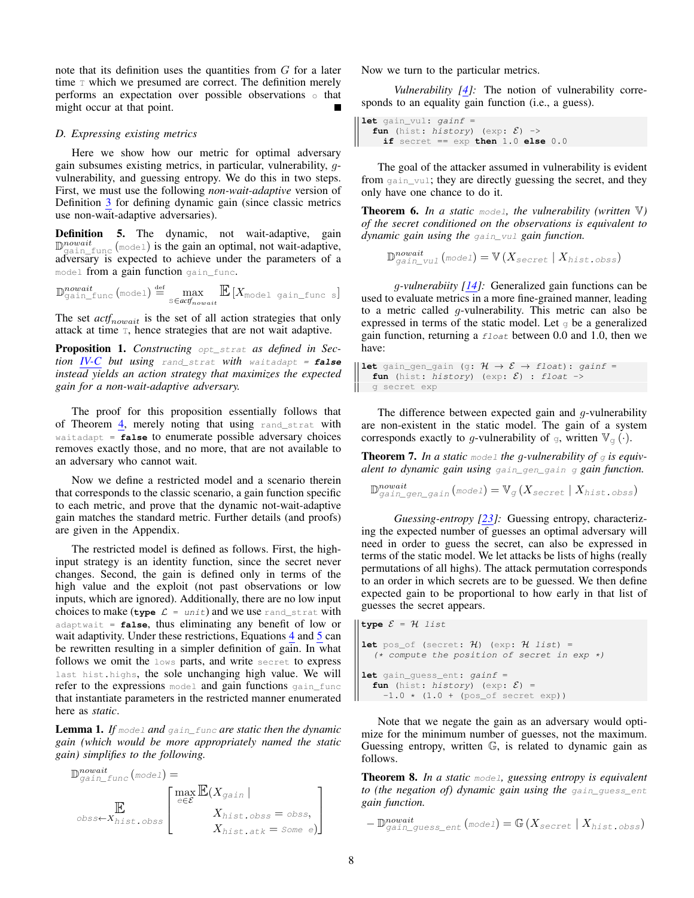note that its definition uses the quantities from  $G$  for a later time  $\tau$  which we presumed are correct. The definition merely performs an expectation over possible observations o that might occur at that point.

#### <span id="page-7-0"></span>*D. Expressing existing metrics*

Here we show how our metric for optimal adversary gain subsumes existing metrics, in particular, vulnerability, gvulnerability, and guessing entropy. We do this in two steps. First, we must use the following *non-wait-adaptive* version of Definition [3](#page-5-9) for defining dynamic gain (since classic metrics use non-wait-adaptive adversaries).

Definition 5. The dynamic, not wait-adaptive, gain  $\mathbb{D}_{\text{gain}\_\text{func}}^{nowait}$  (model) is the gain an optimal, not wait-adaptive, adversary is expected to achieve under the parameters of a model from a gain function gain\_func.

 $\mathbb{D}_{\text{gain\_func}}^{nowait}$  (model)  $\stackrel{\text{def}}{=} \max_{s \in \text{act}_{nowait}} \mathbb{E} \left[ X_{\text{model gain\_func s}} \right]$ 

The set  $actf_{nowait}$  is the set of all action strategies that only attack at time  $\overline{r}$ , hence strategies that are not wait adaptive.

Proposition 1. *Constructing* opt\_strat *as defined in Section [IV-C](#page-5-0) but using* rand\_strat *with* waitadapt = **false** *instead yields an action strategy that maximizes the expected gain for a non-wait-adaptive adversary.*

The proof for this proposition essentially follows that of Theorem [4,](#page-6-0) merely noting that using rand\_strat with waitadapt = **false** to enumerate possible adversary choices removes exactly those, and no more, that are not available to an adversary who cannot wait.

Now we define a restricted model and a scenario therein that corresponds to the classic scenario, a gain function specific to each metric, and prove that the dynamic not-wait-adaptive gain matches the standard metric. Further details (and proofs) are given in the Appendix.

The restricted model is defined as follows. First, the highinput strategy is an identity function, since the secret never changes. Second, the gain is defined only in terms of the high value and the exploit (not past observations or low inputs, which are ignored). Additionally, there are no low input choices to make  $(\text{type } \mathcal{L} = \text{unit})$  and we use rand\_strat with adaptwait = **false**, thus eliminating any benefit of low or wait adaptivity. Under these restrictions, Equations [4](#page-6-1) and [5](#page-6-3) can be rewritten resulting in a simpler definition of gain. In what follows we omit the lows parts, and write secret to express last hist.highs, the sole unchanging high value. We will refer to the expressions model and gain functions gain\_func that instantiate parameters in the restricted manner enumerated here as *static*.

<span id="page-7-1"></span>Lemma 1. *If* model *and* gain\_func *are static then the dynamic gain (which would be more appropriately named the static gain) simplifies to the following.*

$$
\mathbb{D}_{gain\_func}^{nowait}(\text{model}) = \n\mathbb{E}\left[\n\begin{array}{c}\n\text{max}\mathbb{E}(X_{gain} \mid \text{X}_{hist.obs} = \text{obs}s, \\
\text{max}\mathbb{E}(X_{gain} \mid \text{X}_{hist.obs} = \text{obs}s, \\
X_{hist.atk} = \text{some e}\n\end{array}\n\right]
$$

Now we turn to the particular metrics.

*Vulnerability [\[4\]](#page-15-9):* The notion of vulnerability corresponds to an equality gain function (i.e., a guess).

```
let gain vul: gainf =
   fun (hist: history) (exp: \mathcal{E}) ->
     if secret == exp then 1.0 else 0.0
```
The goal of the attacker assumed in vulnerability is evident from gain\_vul; they are directly guessing the secret, and they only have one chance to do it.

<span id="page-7-2"></span>Theorem 6. *In a static* model*, the vulnerability (written* V*) of the secret conditioned on the observations is equivalent to dynamic gain using the* gain\_vul *gain function.*

$$
\mathbb{D}_{gain\_vul}^{nowait}\left(\text{model}\right) = \mathbb{V}\left(X_{secret} \mid X_{hist.obss}\right)
$$

g*-vulnerabiity [\[14\]](#page-15-8):* Generalized gain functions can be used to evaluate metrics in a more fine-grained manner, leading to a metric called g-vulnerability. This metric can also be expressed in terms of the static model. Let  $\alpha$  be a generalized gain function, returning a  $f$ loat between 0.0 and 1.0, then we have:

```
let gain_gen_gain (g: \mathcal{H} \rightarrow \mathcal{E} \rightarrow float): gainf =
   fun (hist: history) (exp: \mathcal{E}) : float ->
 g secret exp
```
The difference between expected gain and  $g$ -vulnerability are non-existent in the static model. The gain of a system corresponds exactly to g-vulnerability of g, written  $\mathbb{V}_{\alpha}(\cdot)$ .

<span id="page-7-3"></span>**Theorem 7.** In a static model the g-vulnerability of g is equiv*alent to dynamic gain using* gain\_gen\_gain g *gain function.*

$$
\mathbb{D}_{gain\_gen\_gain}^{nowait}( \text{model}) = \mathbb{V}_g(X_{secret} \mid X_{hist.obss})
$$

*Guessing-entropy [\[23\]](#page-15-17):* Guessing entropy, characterizing the expected number of guesses an optimal adversary will need in order to guess the secret, can also be expressed in terms of the static model. We let attacks be lists of highs (really permutations of all highs). The attack permutation corresponds to an order in which secrets are to be guessed. We then define expected gain to be proportional to how early in that list of guesses the secret appears.

```
type \mathcal{E} = \mathcal{H} list
let pos_of (secret: \mathcal{H}) (exp: \mathcal{H} list) =
   (* compute the position of secret in exp *)
let gain_guess_ent: gainf =
  fun (hist: history) (exp: \mathcal{E}) =
    -1.0 * (1.0 + (pos_of secret exp))
```
Note that we negate the gain as an adversary would optimize for the minimum number of guesses, not the maximum. Guessing entropy, written G, is related to dynamic gain as follows.

<span id="page-7-4"></span>Theorem 8. *In a static* model*, guessing entropy is equivalent to (the negation of) dynamic gain using the* gain\_guess\_ent *gain function.*

$$
-\mathbb{D}_{gain\_guess\_ent}^{nowait}(model) = \mathbb{G}\left(X_{secret} \mid X_{hist.obss}\right)
$$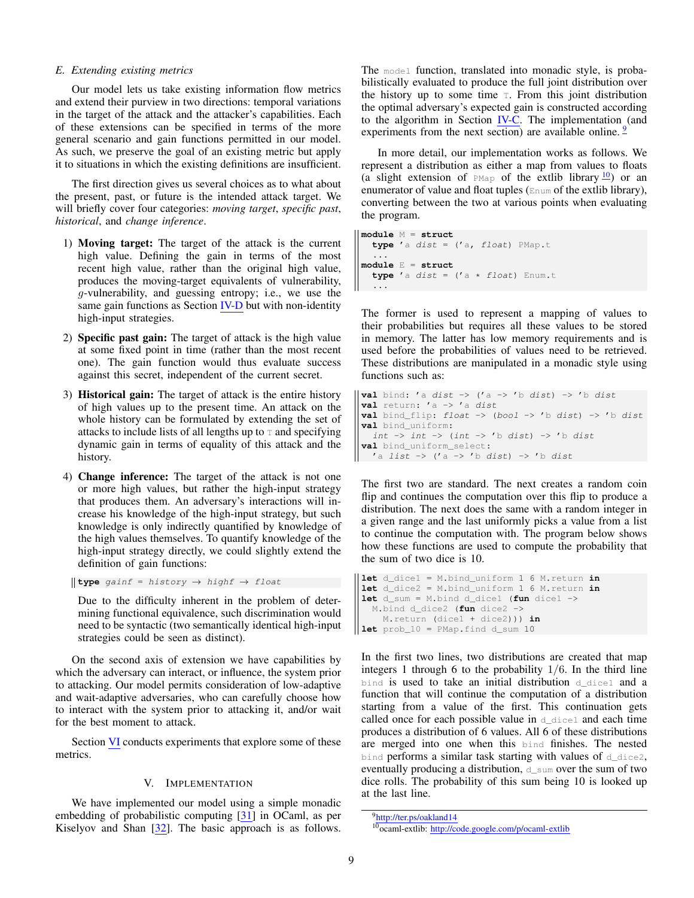#### <span id="page-8-1"></span>*E. Extending existing metrics*

Our model lets us take existing information flow metrics and extend their purview in two directions: temporal variations in the target of the attack and the attacker's capabilities. Each of these extensions can be specified in terms of the more general scenario and gain functions permitted in our model. As such, we preserve the goal of an existing metric but apply it to situations in which the existing definitions are insufficient.

The first direction gives us several choices as to what about the present, past, or future is the intended attack target. We will briefly cover four categories: *moving target*, *specific past*, *historical*, and *change inference*.

- 1) Moving target: The target of the attack is the current high value. Defining the gain in terms of the most recent high value, rather than the original high value, produces the moving-target equivalents of vulnerability, g-vulnerability, and guessing entropy; i.e., we use the same gain functions as Section [IV-D](#page-7-0) but with non-identity high-input strategies.
- 2) Specific past gain: The target of attack is the high value at some fixed point in time (rather than the most recent one). The gain function would thus evaluate success against this secret, independent of the current secret.
- 3) Historical gain: The target of attack is the entire history of high values up to the present time. An attack on the whole history can be formulated by extending the set of attacks to include lists of all lengths up to  $\tau$  and specifying dynamic gain in terms of equality of this attack and the history.
- 4) Change inference: The target of the attack is not one or more high values, but rather the high-input strategy that produces them. An adversary's interactions will increase his knowledge of the high-input strategy, but such knowledge is only indirectly quantified by knowledge of the high values themselves. To quantify knowledge of the high-input strategy directly, we could slightly extend the definition of gain functions:

 $\parallel$  type gainf = history  $\rightarrow$  highf  $\rightarrow$  float

Due to the difficulty inherent in the problem of determining functional equivalence, such discrimination would need to be syntactic (two semantically identical high-input strategies could be seen as distinct).

On the second axis of extension we have capabilities by which the adversary can interact, or influence, the system prior to attacking. Our model permits consideration of low-adaptive and wait-adaptive adversaries, who can carefully choose how to interact with the system prior to attacking it, and/or wait for the best moment to attack.

<span id="page-8-0"></span>Section [VI](#page-9-0) conducts experiments that explore some of these metrics.

## V. IMPLEMENTATION

We have implemented our model using a simple monadic embedding of probabilistic computing [\[31\]](#page-15-25) in OCaml, as per Kiselyov and Shan [\[32\]](#page-15-26). The basic approach is as follows. The model function, translated into monadic style, is probabilistically evaluated to produce the full joint distribution over the history up to some time  $\tau$ . From this joint distribution the optimal adversary's expected gain is constructed according to the algorithm in Section [IV-C.](#page-5-0) The implementation (and experiments from the next section) are available online.  $\frac{9}{2}$  $\frac{9}{2}$  $\frac{9}{2}$ 

In more detail, our implementation works as follows. We represent a distribution as either a map from values to floats (a slight extension of PMap of the extlib library  $\frac{10}{2}$  $\frac{10}{2}$  $\frac{10}{2}$ ) or an enumerator of value and float tuples (Enum of the extlib library), converting between the two at various points when evaluating the program.

```
module M = struct
  type 'a dist = ('a, float) PMap.t
  ...
module E = struct
  type 'a dist = ('a * float) Enum.t
  ...
```
The former is used to represent a mapping of values to their probabilities but requires all these values to be stored in memory. The latter has low memory requirements and is used before the probabilities of values need to be retrieved. These distributions are manipulated in a monadic style using functions such as:

```
val bind: 'a dist \rightarrow ('a \rightarrow 'b dist) \rightarrow 'b dist
val return: 'a -> 'a dist
val bind_flip: float -> (bool -> 'b dist) -> 'b dist
val bind_uniform:
 int \rightarrow int \rightarrow (int \rightarrow 'b dist) \rightarrow 'b dist
val bind_uniform_select:
'a list \rightarrow ('a \rightarrow 'b dist) \rightarrow 'b dist
```
The first two are standard. The next creates a random coin flip and continues the computation over this flip to produce a distribution. The next does the same with a random integer in a given range and the last uniformly picks a value from a list to continue the computation with. The program below shows how these functions are used to compute the probability that the sum of two dice is 10.

```
let d_dice1 = M.bind_uniform 1 6 M.return in
let d_dice2 = M.bind_uniform 1 6 M.return in
let d_sum = M.bind d_dice1 (fun dice1 ->
  M.bind d_dice2 (fun dice2 ->
    M.return (dice1 + dice2))) in
let prob_10 = PMap.find d_sum 10
```
In the first two lines, two distributions are created that map integers 1 through 6 to the probability  $1/6$ . In the third line bind is used to take an initial distribution d\_dice1 and a function that will continue the computation of a distribution starting from a value of the first. This continuation gets called once for each possible value in d\_dice1 and each time produces a distribution of 6 values. All 6 of these distributions are merged into one when this bind finishes. The nested bind performs a similar task starting with values of  $d$  dice2, eventually producing a distribution,  $d_{\text{sum}}$  over the sum of two dice rolls. The probability of this sum being 10 is looked up at the last line.

<span id="page-8-2"></span><sup>9</sup><http://ter.ps/oakland14>

<span id="page-8-3"></span><sup>10</sup>ocaml-extlib: <http://code.google.com/p/ocaml-extlib>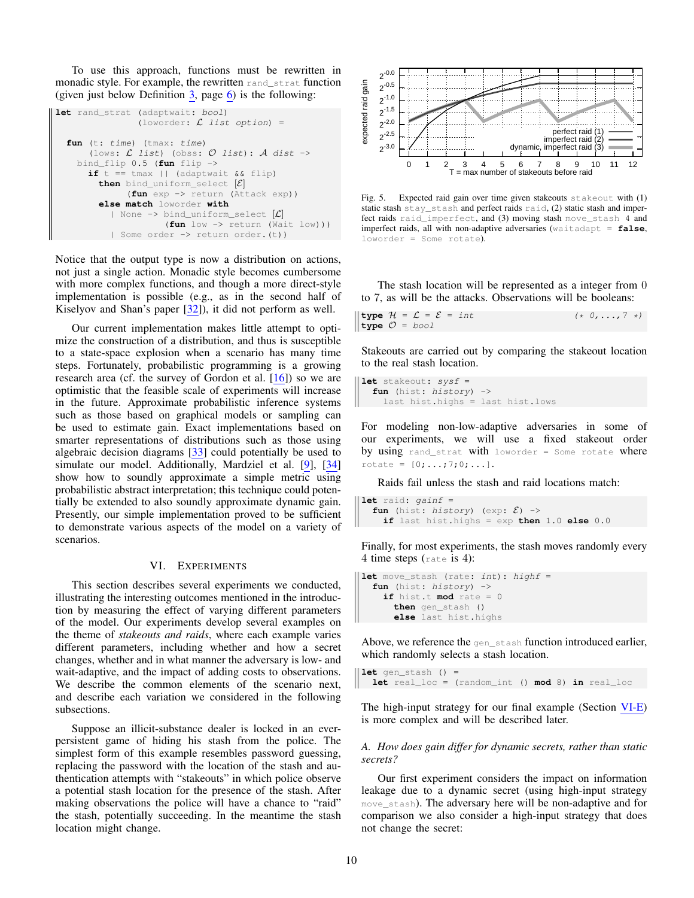To use this approach, functions must be rewritten in monadic style. For example, the rewritten rand\_strat function (given just below Definition [3,](#page-5-9) page  $6$ ) is the following:

```
let rand_strat (adaptwait: bool)
                  (loworder: \mathcal L list option) =
  fun (t: time) (tmax: time)
       (lows: \mathcal{L} list) (obss: \mathcal{O} list): \mathcal{A} dist ->
    bind_flip 0.5 (fun flip ->
       if \t= tmax || (adaptwait \&\t= flip)
         then bind uniform_select [\mathcal{E}](fun exp -> return (Attack exp))
         else match loworder with
            | None \rightarrow bind_uniform_select [\mathcal{L}](fun low -> return (Wait low)))
            | Some order -> return order.(t))
```
Notice that the output type is now a distribution on actions, not just a single action. Monadic style becomes cumbersome with more complex functions, and though a more direct-style implementation is possible (e.g., as in the second half of Kiselyov and Shan's paper [\[32\]](#page-15-26)), it did not perform as well.

Our current implementation makes little attempt to optimize the construction of a distribution, and thus is susceptible to a state-space explosion when a scenario has many time steps. Fortunately, probabilistic programming is a growing research area (cf. the survey of Gordon et al.  $[16]$ ) so we are optimistic that the feasible scale of experiments will increase in the future. Approximate probabilistic inference systems such as those based on graphical models or sampling can be used to estimate gain. Exact implementations based on smarter representations of distributions such as those using algebraic decision diagrams [\[33\]](#page-15-27) could potentially be used to simulate our model. Additionally, Mardziel et al. [\[9\]](#page-15-3), [\[34\]](#page-15-28) show how to soundly approximate a simple metric using probabilistic abstract interpretation; this technique could potentially be extended to also soundly approximate dynamic gain. Presently, our simple implementation proved to be sufficient to demonstrate various aspects of the model on a variety of scenarios.

## VI. EXPERIMENTS

<span id="page-9-0"></span>This section describes several experiments we conducted, illustrating the interesting outcomes mentioned in the introduction by measuring the effect of varying different parameters of the model. Our experiments develop several examples on the theme of *stakeouts and raids*, where each example varies different parameters, including whether and how a secret changes, whether and in what manner the adversary is low- and wait-adaptive, and the impact of adding costs to observations. We describe the common elements of the scenario next, and describe each variation we considered in the following subsections.

Suppose an illicit-substance dealer is locked in an everpersistent game of hiding his stash from the police. The simplest form of this example resembles password guessing, replacing the password with the location of the stash and authentication attempts with "stakeouts" in which police observe a potential stash location for the presence of the stash. After making observations the police will have a chance to "raid" the stash, potentially succeeding. In the meantime the stash location might change.



<span id="page-9-1"></span>Fig. 5. Expected raid gain over time given stakeouts stakeout with (1) static stash stay\_stash and perfect raids raid, (2) static stash and imperfect raids raid\_imperfect, and (3) moving stash move\_stash 4 and imperfect raids, all with non-adaptive adversaries (waitadapt = **false**, loworder = Some rotate).

The stash location will be represented as a integer from 0 to 7, as will be the attacks. Observations will be booleans:

| type $\mathcal{H} = \mathcal{L} = \mathcal{E} = int$ |  | $(* 0, , 7 *)$ |  |
|------------------------------------------------------|--|----------------|--|
| type $\mathcal{O} = bool$                            |  |                |  |

Stakeouts are carried out by comparing the stakeout location to the real stash location.

```
let stakeout: sysf =
  fun (hist: history) ->
    last hist.highs = last hist.lows
```
For modeling non-low-adaptive adversaries in some of our experiments, we will use a fixed stakeout order by using rand\_strat with loworder = Some rotate where rotate =  $[0; \ldots; 7; 0; \ldots].$ 

Raids fail unless the stash and raid locations match:

```
let raid: gainf =
  fun (hist: history) (exp: \mathcal{E}) ->
    if last hist.highs = exp then 1.0 else 0.0
```
Finally, for most experiments, the stash moves randomly every 4 time steps (rate is 4):

```
let move_stash (rate: int): highf =
  fun (hist: history) ->
    if hist.t mod rate = 0
      then gen_stash ()
      else last hist.highs
```
Above, we reference the gen\_stash function introduced earlier, which randomly selects a stash location.

```
let gen_stash () =
 let real_loc = (random_int () mod 8) in real_loc
```
The high-input strategy for our final example (Section [VI-E\)](#page-12-0) is more complex and will be described later.

## *A. How does gain differ for dynamic secrets, rather than static secrets?*

Our first experiment considers the impact on information leakage due to a dynamic secret (using high-input strategy move\_stash). The adversary here will be non-adaptive and for comparison we also consider a high-input strategy that does not change the secret: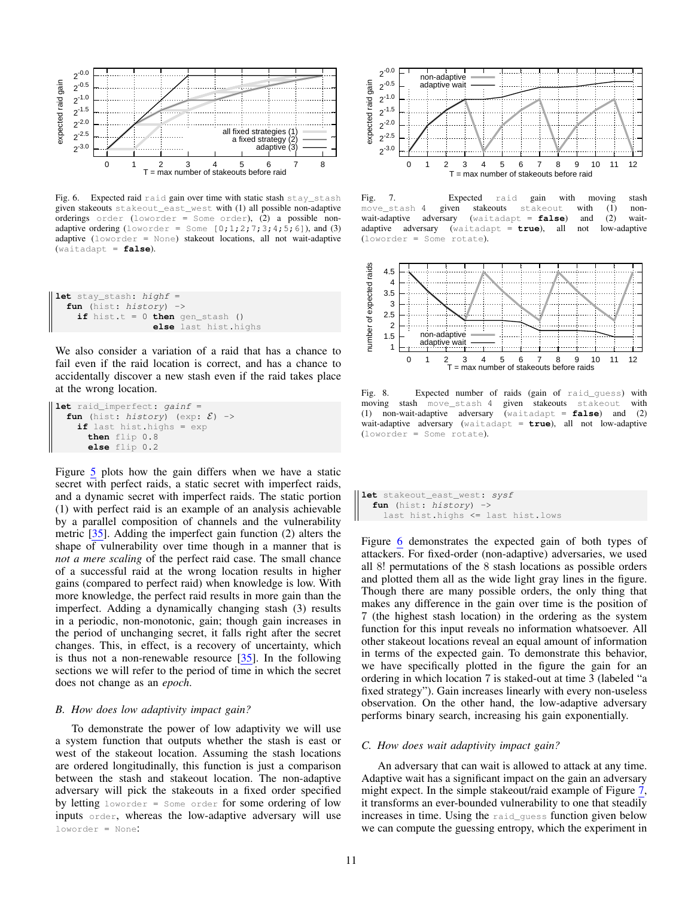

<span id="page-10-0"></span>Fig. 6. Expected raid raid gain over time with static stash stay\_stash given stakeouts stakeout\_east\_west with (1) all possible non-adaptive orderings order (loworder = Some order), (2) a possible nonadaptive ordering (loworder = Some  $[0;1;2;7;3;4;5;6]$ ), and (3) adaptive  $(lower  $l$  = None)$  stakeout locations, all not wait-adaptive (waitadapt = **false**).

```
let stay_stash: highf =
  fun (hist: history) ->
    if hist.t = 0 then qen\_stash ()
                  else last hist.highs
```
We also consider a variation of a raid that has a chance to fail even if the raid location is correct, and has a chance to accidentally discover a new stash even if the raid takes place at the wrong location.

```
let raid_imperfect: gainf =
  fun (hist: history) (exp: \mathcal{E}) ->
    if last hist.highs = exp
      then flip 0.8
      else flip 0.2
```
Figure [5](#page-9-1) plots how the gain differs when we have a static secret with perfect raids, a static secret with imperfect raids, and a dynamic secret with imperfect raids. The static portion (1) with perfect raid is an example of an analysis achievable by a parallel composition of channels and the vulnerability metric [\[35\]](#page-15-29). Adding the imperfect gain function (2) alters the shape of vulnerability over time though in a manner that is *not a mere scaling* of the perfect raid case. The small chance of a successful raid at the wrong location results in higher gains (compared to perfect raid) when knowledge is low. With more knowledge, the perfect raid results in more gain than the imperfect. Adding a dynamically changing stash (3) results in a periodic, non-monotonic, gain; though gain increases in the period of unchanging secret, it falls right after the secret changes. This, in effect, is a recovery of uncertainty, which is thus not a non-renewable resource [\[35\]](#page-15-29). In the following sections we will refer to the period of time in which the secret does not change as an *epoch*.

### <span id="page-10-3"></span>*B. How does low adaptivity impact gain?*

To demonstrate the power of low adaptivity we will use a system function that outputs whether the stash is east or west of the stakeout location. Assuming the stash locations are ordered longitudinally, this function is just a comparison between the stash and stakeout location. The non-adaptive adversary will pick the stakeouts in a fixed order specified by letting loworder = Some order for some ordering of low inputs order, whereas the low-adaptive adversary will use loworder = None:



<span id="page-10-1"></span>Fig. 7. Expected raid gain with moving stash move\_stash 4 given stakeouts stakeout with (1) nonwait-adaptive adversary (waitadapt = **false**) and (2) waitadaptive adversary (waitadapt = **true**), all not low-adaptive (loworder = Some rotate).



<span id="page-10-2"></span>Fig. 8. Expected number of raids (gain of raid\_guess) with moving stash move\_stash 4 given stakeouts stakeout with (1) non-wait-adaptive adversary (waitadapt = **false**) and (2) wait-adaptive adversary (waitadapt = **true**), all not low-adaptive (loworder = Some rotate).

**let** stakeout\_east\_west: sysf **fun** (hist: history) -> last hist.highs <= last hist.lows

Figure [6](#page-10-0) demonstrates the expected gain of both types of attackers. For fixed-order (non-adaptive) adversaries, we used all 8! permutations of the 8 stash locations as possible orders and plotted them all as the wide light gray lines in the figure. Though there are many possible orders, the only thing that makes any difference in the gain over time is the position of 7 (the highest stash location) in the ordering as the system function for this input reveals no information whatsoever. All other stakeout locations reveal an equal amount of information in terms of the expected gain. To demonstrate this behavior, we have specifically plotted in the figure the gain for an ordering in which location 7 is staked-out at time 3 (labeled "a fixed strategy"). Gain increases linearly with every non-useless observation. On the other hand, the low-adaptive adversary performs binary search, increasing his gain exponentially.

#### *C. How does wait adaptivity impact gain?*

An adversary that can wait is allowed to attack at any time. Adaptive wait has a significant impact on the gain an adversary might expect. In the simple stakeout/raid example of Figure [7,](#page-10-1) it transforms an ever-bounded vulnerability to one that steadily increases in time. Using the raid\_guess function given below we can compute the guessing entropy, which the experiment in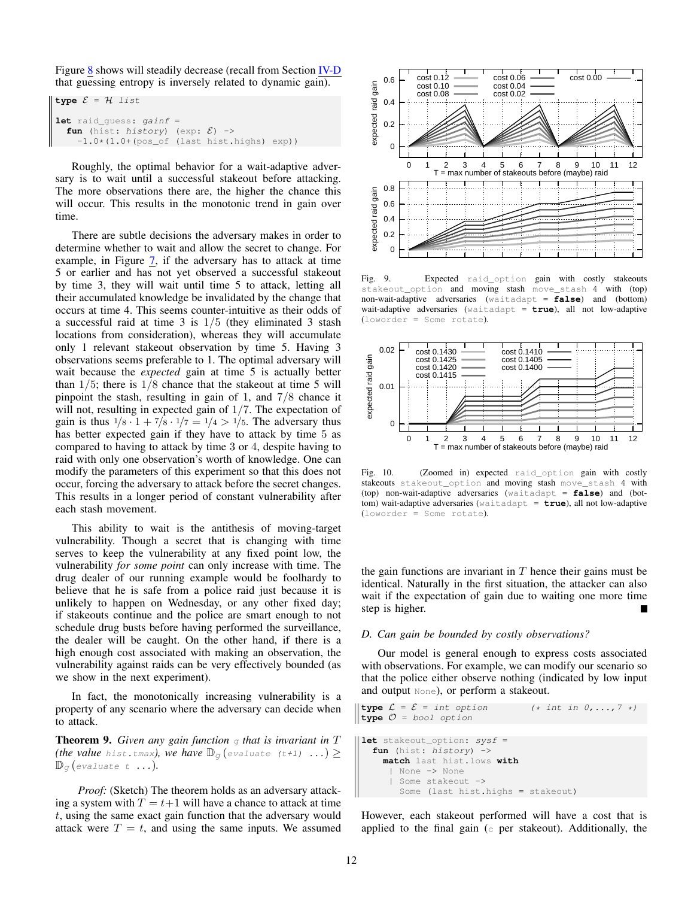Figure [8](#page-10-2) shows will steadily decrease (recall from Section [IV-D](#page-7-0) that guessing entropy is inversely related to dynamic gain).

```
type \mathcal{E} = \mathcal{H} list
let raid_guess: gainf =
  fun (hist: history) (exp: \mathcal{E}) ->
     -1.0*(1.0+(pos_of (last hist.hiqhs) exp))
```
Roughly, the optimal behavior for a wait-adaptive adversary is to wait until a successful stakeout before attacking. The more observations there are, the higher the chance this will occur. This results in the monotonic trend in gain over time.

There are subtle decisions the adversary makes in order to determine whether to wait and allow the secret to change. For example, in Figure [7,](#page-10-1) if the adversary has to attack at time 5 or earlier and has not yet observed a successful stakeout by time 3, they will wait until time 5 to attack, letting all their accumulated knowledge be invalidated by the change that occurs at time 4. This seems counter-intuitive as their odds of a successful raid at time  $3$  is  $1/5$  (they eliminated  $3$  stash locations from consideration), whereas they will accumulate only 1 relevant stakeout observation by time 5. Having 3 observations seems preferable to 1. The optimal adversary will wait because the *expected* gain at time 5 is actually better than  $1/5$ ; there is  $1/8$  chance that the stakeout at time 5 will pinpoint the stash, resulting in gain of 1, and 7/8 chance it will not, resulting in expected gain of  $1/7$ . The expectation of gain is thus  $1/8 \cdot 1 + \frac{7}{8} \cdot \frac{1}{7} = \frac{1}{4} > \frac{1}{5}$ . The adversary thus has better expected gain if they have to attack by time 5 as compared to having to attack by time 3 or 4, despite having to raid with only one observation's worth of knowledge. One can modify the parameters of this experiment so that this does not occur, forcing the adversary to attack before the secret changes. This results in a longer period of constant vulnerability after each stash movement.

This ability to wait is the antithesis of moving-target vulnerability. Though a secret that is changing with time serves to keep the vulnerability at any fixed point low, the vulnerability *for some point* can only increase with time. The drug dealer of our running example would be foolhardy to believe that he is safe from a police raid just because it is unlikely to happen on Wednesday, or any other fixed day; if stakeouts continue and the police are smart enough to not schedule drug busts before having performed the surveillance, the dealer will be caught. On the other hand, if there is a high enough cost associated with making an observation, the vulnerability against raids can be very effectively bounded (as we show in the next experiment).

In fact, the monotonically increasing vulnerability is a property of any scenario where the adversary can decide when to attack.

Theorem 9. *Given any gain function* g *that is invariant in* T *(the value hist.tmax), we have*  $\mathbb{D}_{q}$  (evaluate (t+1)  $\dots$ )  $\ge$  $\mathbb{D}_q$  (evaluate t ...).

*Proof:* (Sketch) The theorem holds as an adversary attacking a system with  $T = t+1$  will have a chance to attack at time  $t$ , using the same exact gain function that the adversary would attack were  $T = t$ , and using the same inputs. We assumed



<span id="page-11-0"></span>Fig. 9. Expected raid\_option gain with costly stakeouts stakeout\_option and moving stash move\_stash 4 with (top) non-wait-adaptive adversaries (waitadapt = **false**) and (bottom) wait-adaptive adversaries (waitadapt = **true**), all not low-adaptive (loworder = Some rotate).



<span id="page-11-1"></span>Fig. 10. (Zoomed in) expected raid\_option gain with costly stakeouts stakeout\_option and moving stash move\_stash 4 with (top) non-wait-adaptive adversaries (waitadapt = **false**) and (bottom) wait-adaptive adversaries (waitadapt = **true**), all not low-adaptive (loworder = Some rotate).

the gain functions are invariant in  $T$  hence their gains must be identical. Naturally in the first situation, the attacker can also wait if the expectation of gain due to waiting one more time step is higher.

## <span id="page-11-2"></span>*D. Can gain be bounded by costly observations?*

Our model is general enough to express costs associated with observations. For example, we can modify our scenario so that the police either observe nothing (indicated by low input and output None), or perform a stakeout.

```
type \mathcal{L} = \mathcal{E} = \text{int option} (* int in 0, ..., 7 *)
\|type \mathcal{O} = bool option
 let stakeout_option: sysf
   fun (hist: history) ->
     match last hist.lows with
       | None -> None
       | Some stakeout ->
         Some (last hist.highs = stakeout)
```
However, each stakeout performed will have a cost that is applied to the final gain ( $\epsilon$  per stakeout). Additionally, the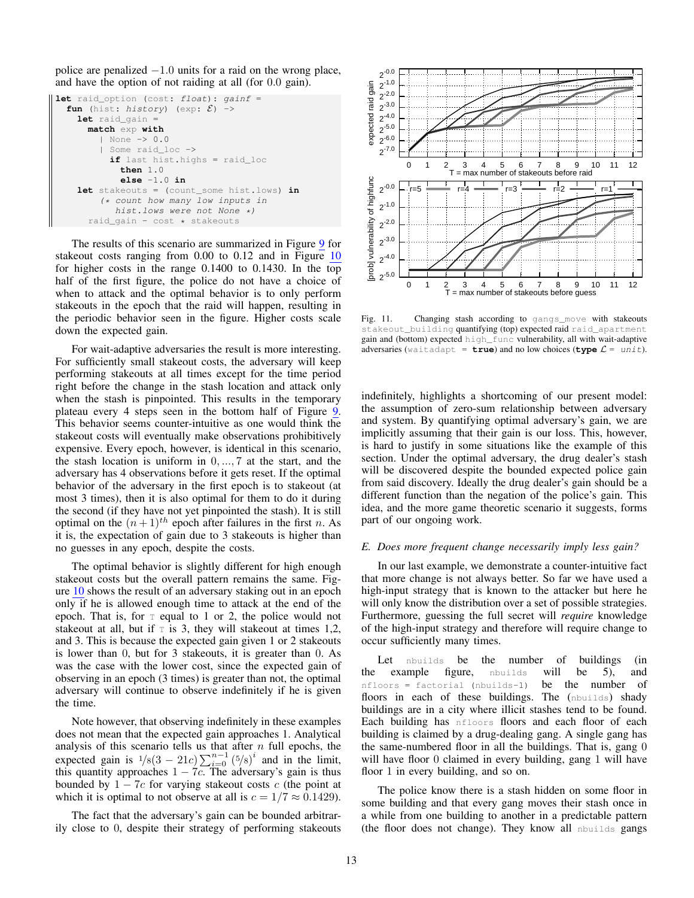police are penalized  $-1.0$  units for a raid on the wrong place, and have the option of not raiding at all (for 0.0 gain).

```
let raid option (cost: float): gainf =
  fun (hist: history) (exp: \mathcal{E}) ->
    let raid_gain =
      match exp with
          None -> 0.0
          | Some raid_loc ->
          if last hist.highs = raid_loc
            then 1.0
            else -1.0 in
    let stakeouts = (count_some hist.lows) in
        (* count how many low inputs in
           hist.lows were not None *)
      raid_gain - cost \star stakeouts
```
The results of this scenario are summarized in Figure [9](#page-11-0) for stakeout costs ranging from 0.00 to 0.12 and in Figure [10](#page-11-1) for higher costs in the range 0.1400 to 0.1430. In the top half of the first figure, the police do not have a choice of when to attack and the optimal behavior is to only perform stakeouts in the epoch that the raid will happen, resulting in the periodic behavior seen in the figure. Higher costs scale down the expected gain.

For wait-adaptive adversaries the result is more interesting. For sufficiently small stakeout costs, the adversary will keep performing stakeouts at all times except for the time period right before the change in the stash location and attack only when the stash is pinpointed. This results in the temporary plateau every 4 steps seen in the bottom half of Figure [9.](#page-11-0) This behavior seems counter-intuitive as one would think the stakeout costs will eventually make observations prohibitively expensive. Every epoch, however, is identical in this scenario, the stash location is uniform in  $0, \ldots, 7$  at the start, and the adversary has 4 observations before it gets reset. If the optimal behavior of the adversary in the first epoch is to stakeout (at most 3 times), then it is also optimal for them to do it during the second (if they have not yet pinpointed the stash). It is still optimal on the  $(n+1)$ <sup>th</sup> epoch after failures in the first n. As it is, the expectation of gain due to 3 stakeouts is higher than no guesses in any epoch, despite the costs.

The optimal behavior is slightly different for high enough stakeout costs but the overall pattern remains the same. Figure [10](#page-11-1) shows the result of an adversary staking out in an epoch only if he is allowed enough time to attack at the end of the epoch. That is, for  $\tau$  equal to 1 or 2, the police would not stakeout at all, but if  $\tau$  is 3, they will stakeout at times 1,2, and 3. This is because the expected gain given 1 or 2 stakeouts is lower than 0, but for 3 stakeouts, it is greater than 0. As was the case with the lower cost, since the expected gain of observing in an epoch (3 times) is greater than not, the optimal adversary will continue to observe indefinitely if he is given the time.

Note however, that observing indefinitely in these examples does not mean that the expected gain approaches 1. Analytical analysis of this scenario tells us that after  $n$  full epochs, the expected gain is  $1/8(3-21c)\sum_{i=0}^{n-1} (5/8)^i$  and in the limit, this quantity approaches  $1 - 7c$ . The adversary's gain is thus bounded by  $1 - 7c$  for varying stakeout costs c (the point at which it is optimal to not observe at all is  $c = 1/7 \approx 0.1429$ .

The fact that the adversary's gain can be bounded arbitrarily close to 0, despite their strategy of performing stakeouts



<span id="page-12-1"></span>Fig. 11. Changing stash according to gangs\_move with stakeouts stakeout\_building quantifying (top) expected raid raid\_apartment gain and (bottom) expected high\_func vulnerability, all with wait-adaptive adversaries (waitadapt =  $true$ ) and no low choices ( $type \mathcal{L}$  = unit).

indefinitely, highlights a shortcoming of our present model: the assumption of zero-sum relationship between adversary and system. By quantifying optimal adversary's gain, we are implicitly assuming that their gain is our loss. This, however, is hard to justify in some situations like the example of this section. Under the optimal adversary, the drug dealer's stash will be discovered despite the bounded expected police gain from said discovery. Ideally the drug dealer's gain should be a different function than the negation of the police's gain. This idea, and the more game theoretic scenario it suggests, forms part of our ongoing work.

## <span id="page-12-0"></span>*E. Does more frequent change necessarily imply less gain?*

In our last example, we demonstrate a counter-intuitive fact that more change is not always better. So far we have used a high-input strategy that is known to the attacker but here he will only know the distribution over a set of possible strategies. Furthermore, guessing the full secret will *require* knowledge of the high-input strategy and therefore will require change to occur sufficiently many times.

Let nbuilds be the number of buildings (in the example figure, nbuilds will be 5), and nfloors = factorial (nbuilds-1) be the number of floors in each of these buildings. The (nbuilds) shady buildings are in a city where illicit stashes tend to be found. Each building has nfloors floors and each floor of each building is claimed by a drug-dealing gang. A single gang has the same-numbered floor in all the buildings. That is, gang 0 will have floor 0 claimed in every building, gang 1 will have floor 1 in every building, and so on.

The police know there is a stash hidden on some floor in some building and that every gang moves their stash once in a while from one building to another in a predictable pattern (the floor does not change). They know all nbuilds gangs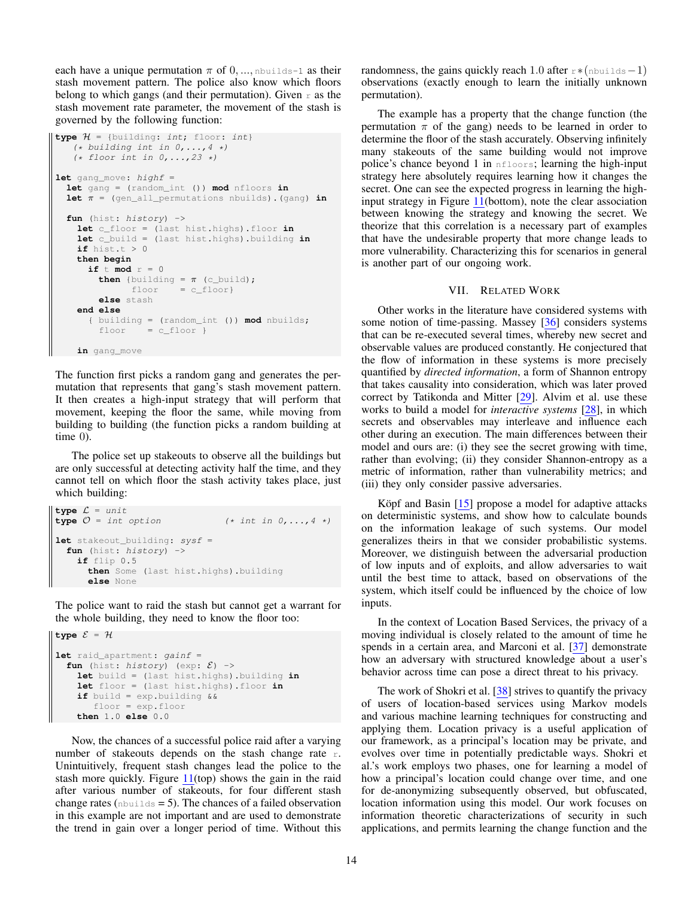each have a unique permutation  $\pi$  of 0, ..., nbuilds-1 as their stash movement pattern. The police also know which floors belong to which gangs (and their permutation). Given  $r$  as the stash movement rate parameter, the movement of the stash is governed by the following function:

```
type H = \{\text{building: int}; \text{ floor: int}\}\(* building int in 0, ..., 4 *)
   (* floor int in 0, \ldots, 23 *)
let gang move: highf =
 let gang = (random_int ()) mod nfloors in
  let \pi = (gen_all_permutations nbuilds).(gang) in
  fun (hist: history) ->
    let c_floor = (last hist.highs).floor in
    let c_build = (last hist.highs).building in
    if hist.t > 0
    then begin
      if t mod r = 0
        then {building = \pi (c_build);
             floor = c_floor}
        else stash
    end else
      { building = (random_int ()) mod nbuilds;
        floor = c_floor }
    in gang_move
```
The function first picks a random gang and generates the permutation that represents that gang's stash movement pattern. It then creates a high-input strategy that will perform that movement, keeping the floor the same, while moving from building to building (the function picks a random building at time 0).

The police set up stakeouts to observe all the buildings but are only successful at detecting activity half the time, and they cannot tell on which floor the stash activity takes place, just which building:

```
type \mathcal{L} = unit
type O = int option (* int in 0, ..., 4 *)
let stakeout_building: sysf =
  fun (hist: history) ->
    if flip 0.5
      then Some (last hist.highs).building
      else None
```
The police want to raid the stash but cannot get a warrant for the whole building, they need to know the floor too:

```
type \mathcal{E} = \mathcal{H}let raid_apartment: gainf =
  fun (hist: history) (exp: \mathcal{E}) ->
    let build = (last hist.highs).building in
    let floor = (last hist.highs).floor in
    if build = exp.building &&
        floor = exp.floor
    then 1.0 else 0.0
```
Now, the chances of a successful police raid after a varying number of stakeouts depends on the stash change rate r. Unintuitively, frequent stash changes lead the police to the stash more quickly. Figure  $11$ (top) shows the gain in the raid after various number of stakeouts, for four different stash change rates ( $n$ builds = 5). The chances of a failed observation in this example are not important and are used to demonstrate the trend in gain over a longer period of time. Without this randomness, the gains quickly reach 1.0 after r $*($ nbuilds $-1)$ observations (exactly enough to learn the initially unknown permutation).

The example has a property that the change function (the permutation  $\pi$  of the gang) needs to be learned in order to determine the floor of the stash accurately. Observing infinitely many stakeouts of the same building would not improve police's chance beyond 1 in nfloors; learning the high-input strategy here absolutely requires learning how it changes the secret. One can see the expected progress in learning the highinput strategy in Figure [11\(](#page-12-1)bottom), note the clear association between knowing the strategy and knowing the secret. We theorize that this correlation is a necessary part of examples that have the undesirable property that more change leads to more vulnerability. Characterizing this for scenarios in general is another part of our ongoing work.

#### VII. RELATED WORK

<span id="page-13-0"></span>Other works in the literature have considered systems with some notion of time-passing. Massey [\[36\]](#page-15-30) considers systems that can be re-executed several times, whereby new secret and observable values are produced constantly. He conjectured that the flow of information in these systems is more precisely quantified by *directed information*, a form of Shannon entropy that takes causality into consideration, which was later proved correct by Tatikonda and Mitter [\[29\]](#page-15-23). Alvim et al. use these works to build a model for *interactive systems* [\[28\]](#page-15-22), in which secrets and observables may interleave and influence each other during an execution. The main differences between their model and ours are: (i) they see the secret growing with time, rather than evolving; (ii) they consider Shannon-entropy as a metric of information, rather than vulnerability metrics; and (iii) they only consider passive adversaries.

Köpf and Basin [\[15\]](#page-15-10) propose a model for adaptive attacks on deterministic systems, and show how to calculate bounds on the information leakage of such systems. Our model generalizes theirs in that we consider probabilistic systems. Moreover, we distinguish between the adversarial production of low inputs and of exploits, and allow adversaries to wait until the best time to attack, based on observations of the system, which itself could be influenced by the choice of low inputs.

In the context of Location Based Services, the privacy of a moving individual is closely related to the amount of time he spends in a certain area, and Marconi et al. [\[37\]](#page-15-31) demonstrate how an adversary with structured knowledge about a user's behavior across time can pose a direct threat to his privacy.

The work of Shokri et al.  $[38]$  strives to quantify the privacy of users of location-based services using Markov models and various machine learning techniques for constructing and applying them. Location privacy is a useful application of our framework, as a principal's location may be private, and evolves over time in potentially predictable ways. Shokri et al.'s work employs two phases, one for learning a model of how a principal's location could change over time, and one for de-anonymizing subsequently observed, but obfuscated, location information using this model. Our work focuses on information theoretic characterizations of security in such applications, and permits learning the change function and the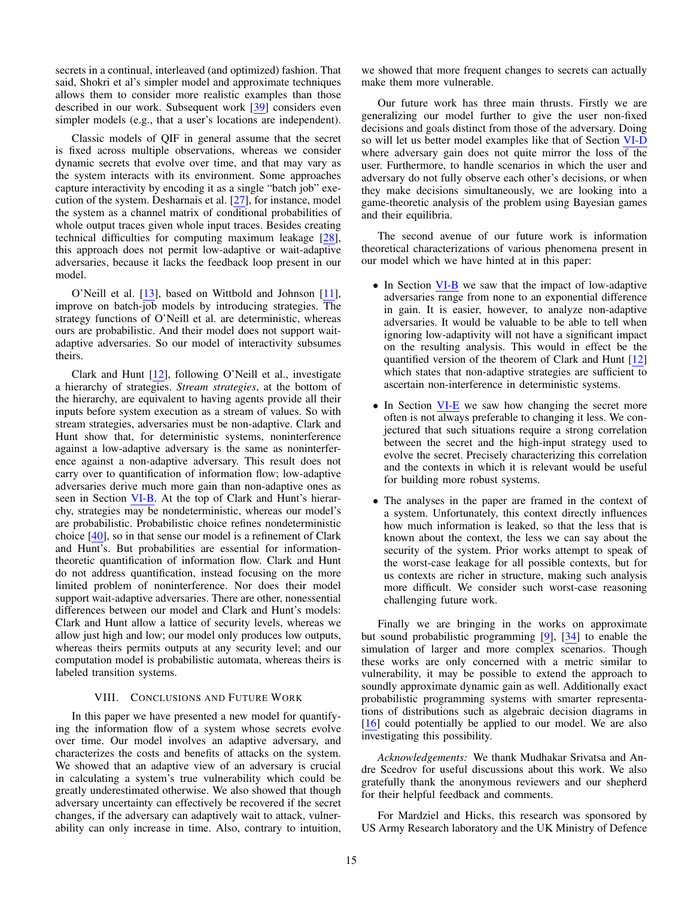secrets in a continual, interleaved (and optimized) fashion. That said, Shokri et al's simpler model and approximate techniques allows them to consider more realistic examples than those described in our work. Subsequent work [\[39\]](#page-16-2) considers even simpler models (e.g., that a user's locations are independent).

Classic models of QIF in general assume that the secret is fixed across multiple observations, whereas we consider dynamic secrets that evolve over time, and that may vary as the system interacts with its environment. Some approaches capture interactivity by encoding it as a single "batch job" execution of the system. Desharnais et al. [\[27\]](#page-15-21), for instance, model the system as a channel matrix of conditional probabilities of whole output traces given whole input traces. Besides creating technical difficulties for computing maximum leakage [\[28\]](#page-15-22), this approach does not permit low-adaptive or wait-adaptive adversaries, because it lacks the feedback loop present in our model.

O'Neill et al. [\[13\]](#page-15-7), based on Wittbold and Johnson [\[11\]](#page-15-5), improve on batch-job models by introducing strategies. The strategy functions of O'Neill et al. are deterministic, whereas ours are probabilistic. And their model does not support waitadaptive adversaries. So our model of interactivity subsumes theirs.

Clark and Hunt [\[12\]](#page-15-6), following O'Neill et al., investigate a hierarchy of strategies. *Stream strategies*, at the bottom of the hierarchy, are equivalent to having agents provide all their inputs before system execution as a stream of values. So with stream strategies, adversaries must be non-adaptive. Clark and Hunt show that, for deterministic systems, noninterference against a low-adaptive adversary is the same as noninterference against a non-adaptive adversary. This result does not carry over to quantification of information flow; low-adaptive adversaries derive much more gain than non-adaptive ones as seen in Section [VI-B.](#page-10-3) At the top of Clark and Hunt's hierarchy, strategies may be nondeterministic, whereas our model's are probabilistic. Probabilistic choice refines nondeterministic choice [\[40\]](#page-16-3), so in that sense our model is a refinement of Clark and Hunt's. But probabilities are essential for informationtheoretic quantification of information flow. Clark and Hunt do not address quantification, instead focusing on the more limited problem of noninterference. Nor does their model support wait-adaptive adversaries. There are other, nonessential differences between our model and Clark and Hunt's models: Clark and Hunt allow a lattice of security levels, whereas we allow just high and low; our model only produces low outputs, whereas theirs permits outputs at any security level; and our computation model is probabilistic automata, whereas theirs is labeled transition systems.

## VIII. CONCLUSIONS AND FUTURE WORK

<span id="page-14-0"></span>In this paper we have presented a new model for quantifying the information flow of a system whose secrets evolve over time. Our model involves an adaptive adversary, and characterizes the costs and benefits of attacks on the system. We showed that an adaptive view of an adversary is crucial in calculating a system's true vulnerability which could be greatly underestimated otherwise. We also showed that though adversary uncertainty can effectively be recovered if the secret changes, if the adversary can adaptively wait to attack, vulnerability can only increase in time. Also, contrary to intuition, we showed that more frequent changes to secrets can actually make them more vulnerable.

Our future work has three main thrusts. Firstly we are generalizing our model further to give the user non-fixed decisions and goals distinct from those of the adversary. Doing so will let us better model examples like that of Section [VI-D](#page-11-2) where adversary gain does not quite mirror the loss of the user. Furthermore, to handle scenarios in which the user and adversary do not fully observe each other's decisions, or when they make decisions simultaneously, we are looking into a game-theoretic analysis of the problem using Bayesian games and their equilibria.

The second avenue of our future work is information theoretical characterizations of various phenomena present in our model which we have hinted at in this paper:

- In Section [VI-B](#page-10-3) we saw that the impact of low-adaptive adversaries range from none to an exponential difference in gain. It is easier, however, to analyze non-adaptive adversaries. It would be valuable to be able to tell when ignoring low-adaptivity will not have a significant impact on the resulting analysis. This would in effect be the quantified version of the theorem of Clark and Hunt [\[12\]](#page-15-6) which states that non-adaptive strategies are sufficient to ascertain non-interference in deterministic systems.
- In Section [VI-E](#page-12-0) we saw how changing the secret more often is not always preferable to changing it less. We conjectured that such situations require a strong correlation between the secret and the high-input strategy used to evolve the secret. Precisely characterizing this correlation and the contexts in which it is relevant would be useful for building more robust systems.
- The analyses in the paper are framed in the context of a system. Unfortunately, this context directly influences how much information is leaked, so that the less that is known about the context, the less we can say about the security of the system. Prior works attempt to speak of the worst-case leakage for all possible contexts, but for us contexts are richer in structure, making such analysis more difficult. We consider such worst-case reasoning challenging future work.

Finally we are bringing in the works on approximate but sound probabilistic programming [\[9\]](#page-15-3), [\[34\]](#page-15-28) to enable the simulation of larger and more complex scenarios. Though these works are only concerned with a metric similar to vulnerability, it may be possible to extend the approach to soundly approximate dynamic gain as well. Additionally exact probabilistic programming systems with smarter representations of distributions such as algebraic decision diagrams in [\[16\]](#page-15-11) could potentially be applied to our model. We are also investigating this possibility.

*Acknowledgements:* We thank Mudhakar Srivatsa and Andre Scedrov for useful discussions about this work. We also gratefully thank the anonymous reviewers and our shepherd for their helpful feedback and comments.

For Mardziel and Hicks, this research was sponsored by US Army Research laboratory and the UK Ministry of Defence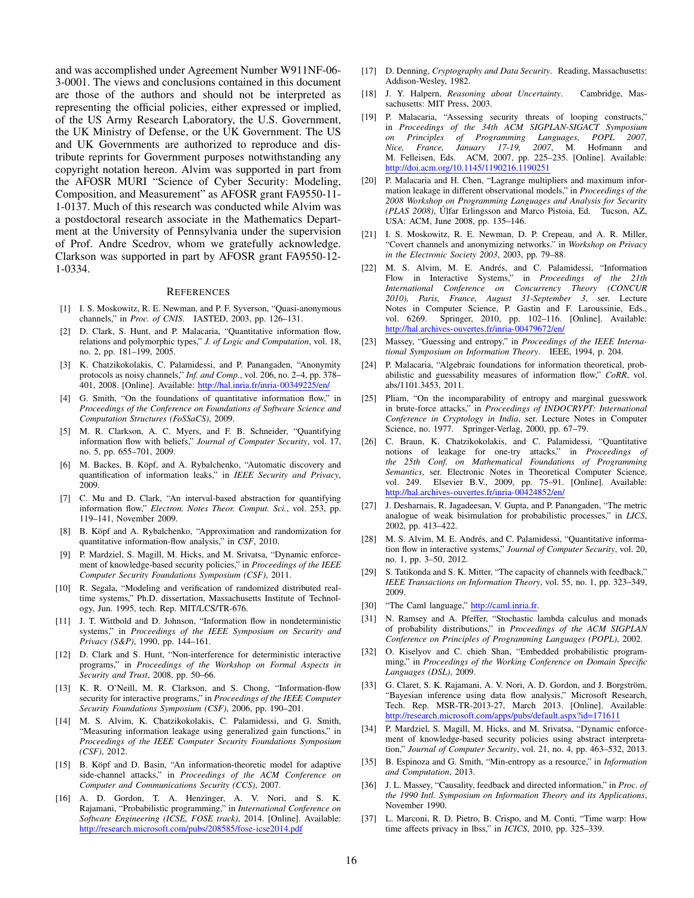and was accomplished under Agreement Number W911NF-06- 3-0001. The views and conclusions contained in this document are those of the authors and should not be interpreted as representing the official policies, either expressed or implied, of the US Army Research Laboratory, the U.S. Government, the UK Ministry of Defense, or the UK Government. The US and UK Governments are authorized to reproduce and distribute reprints for Government purposes notwithstanding any copyright notation hereon. Alvim was supported in part from the AFOSR MURI "Science of Cyber Security: Modeling, Composition, and Measurement" as AFOSR grant FA9550-11- 1-0137. Much of this research was conducted while Alvim was a postdoctoral research associate in the Mathematics Department at the University of Pennsylvania under the supervision of Prof. Andre Scedrov, whom we gratefully acknowledge. Clarkson was supported in part by AFOSR grant FA9550-12- 1-0334.

#### **REFERENCES**

- <span id="page-15-0"></span>[1] I. S. Moskowitz, R. E. Newman, and P. F. Syverson, "Quasi-anonymous channels," in *Proc. of CNIS*. IASTED, 2003, pp. 126–131.
- [2] D. Clark, S. Hunt, and P. Malacaria, "Quantitative information flow, relations and polymorphic types," *J. of Logic and Computation*, vol. 18, no. 2, pp. 181–199, 2005.
- <span id="page-15-14"></span>[3] K. Chatzikokolakis, C. Palamidessi, and P. Panangaden, "Anonymity protocols as noisy channels," *Inf. and Comp.*, vol. 206, no. 2–4, pp. 378– 401, 2008. [Online]. Available: <http://hal.inria.fr/inria-00349225/en/>
- <span id="page-15-9"></span>[4] G. Smith, "On the foundations of quantitative information flow," in *Proceedings of the Conference on Foundations of Software Science and Computation Structures (FoSSaCS)*, 2009.
- <span id="page-15-1"></span>[5] M. R. Clarkson, A. C. Myers, and F. B. Schneider, "Quantifying information flow with beliefs," *Journal of Computer Security*, vol. 17, no. 5, pp. 655–701, 2009.
- <span id="page-15-2"></span>[6] M. Backes, B. Köpf, and A. Rybalchenko, "Automatic discovery and quantification of information leaks," in *IEEE Security and Privacy*, 2009.
- [7] C. Mu and D. Clark, "An interval-based abstraction for quantifying information flow," *Electron. Notes Theor. Comput. Sci.*, vol. 253, pp. 119–141, November 2009.
- [8] B. Köpf and A. Rybalchenko, "Approximation and randomization for quantitative information-flow analysis," in *CSF*, 2010.
- <span id="page-15-3"></span>[9] P. Mardziel, S. Magill, M. Hicks, and M. Srivatsa, "Dynamic enforcement of knowledge-based security policies," in *Proceedings of the IEEE Computer Security Foundations Symposium (CSF)*, 2011.
- <span id="page-15-4"></span>[10] R. Segala, "Modeling and verification of randomized distributed realtime systems," Ph.D. dissertation, Massachusetts Institute of Technology, Jun. 1995, tech. Rep. MIT/LCS/TR-676.
- <span id="page-15-5"></span>[11] J. T. Wittbold and D. Johnson, "Information flow in nondeterministic systems," in *Proceedings of the IEEE Symposium on Security and Privacy (S&P)*, 1990, pp. 144–161.
- <span id="page-15-6"></span>[12] D. Clark and S. Hunt, "Non-interference for deterministic interactive programs," in *Proceedings of the Workshop on Formal Aspects in Security and Trust*, 2008, pp. 50–66.
- <span id="page-15-7"></span>[13] K. R. O'Neill, M. R. Clarkson, and S. Chong, "Information-flow security for interactive programs," in *Proceedings of the IEEE Computer Security Foundations Symposium (CSF)*, 2006, pp. 190–201.
- <span id="page-15-8"></span>[14] M. S. Alvim, K. Chatzikokolakis, C. Palamidessi, and G. Smith, "Measuring information leakage using generalized gain functions," in *Proceedings of the IEEE Computer Security Foundations Symposium (CSF)*, 2012.
- <span id="page-15-10"></span>[15] B. Köpf and D. Basin, "An information-theoretic model for adaptive side-channel attacks," in *Proceedings of the ACM Conference on Computer and Communications Security (CCS)*, 2007.
- <span id="page-15-11"></span>[16] A. D. Gordon, T. A. Henzinger, A. V. Nori, and S. K. Rajamani, "Probabilistic programming," in *International Conference on Software Engineering (ICSE, FOSE track)*, 2014. [Online]. Available: <http://research.microsoft.com/pubs/208585/fose-icse2014.pdf>
- <span id="page-15-12"></span>[17] D. Denning, *Cryptography and Data Security*. Reading, Massachusetts: Addison-Wesley, 1982.
- <span id="page-15-13"></span>[18] J. Y. Halpern, *Reasoning about Uncertainty*. Cambridge, Massachusetts: MIT Press, 2003.
- <span id="page-15-15"></span>[19] P. Malacaria, "Assessing security threats of looping constructs," in *Proceedings of the 34th ACM SIGPLAN-SIGACT Symposium on Principles of Programming Languages, POPL*<br>*Nice France January 17-19 2007* M Hofman *Nice, France, January 17-19, 2007*, M. Hofmann and M. Felleisen, Eds. ACM, 2007, pp. 225–235. [Online]. Available: <http://doi.acm.org/10.1145/1190216.1190251>
- [20] P. Malacaria and H. Chen, "Lagrange multipliers and maximum information leakage in different observational models," in *Proceedings of the 2008 Workshop on Programming Languages and Analysis for Security (PLAS 2008)*, Úlfar Erlingsson and Marco Pistoia, Ed. Tucson, AZ, USA: ACM, June 2008, pp. 135–146.
- [21] I. S. Moskowitz, R. E. Newman, D. P. Crepeau, and A. R. Miller, "Covert channels and anonymizing networks." in *Workshop on Privacy in the Electronic Society 2003*, 2003, pp. 79–88.
- <span id="page-15-16"></span>[22] M. S. Alvim, M. E. Andrés, and C. Palamidessi, "Information Flow in Interactive Systems," in *Proceedings of the 21th International Conference on Concurrency Theory (CONCUR 2010), Paris, France, August 31-September 3*, ser. Lecture Notes in Computer Science, P. Gastin and F. Laroussinie, Eds., vol. 6269. Springer, 2010, pp. 102–116. [Online]. Available: <http://hal.archives-ouvertes.fr/inria-00479672/en/>
- <span id="page-15-17"></span>[23] Massey, "Guessing and entropy," in *Proceedings of the IEEE International Symposium on Information Theory*. IEEE, 1994, p. 204.
- <span id="page-15-18"></span>[24] P. Malacaria, "Algebraic foundations for information theoretical, probabilistic and guessability measures of information flow," *CoRR*, vol. abs/1101.3453, 2011.
- <span id="page-15-19"></span>[25] Pliam, "On the incomparability of entropy and marginal guesswork in brute-force attacks," in *Proceedings of INDOCRYPT: International Conference in Cryptology in India*, ser. Lecture Notes in Computer Science, no. 1977. Springer-Verlag, 2000, pp. 67–79.
- <span id="page-15-20"></span>[26] C. Braun, K. Chatzikokolakis, and C. Palamidessi, "Quantitative notions of leakage for one-try attacks," in *Proceedings of the 25th Conf. on Mathematical Foundations of Programming Semantics*, ser. Electronic Notes in Theoretical Computer Science, vol. 249. Elsevier B.V., 2009, pp. 75–91. [Online]. Available: <http://hal.archives-ouvertes.fr/inria-00424852/en/>
- <span id="page-15-21"></span>[27] J. Desharnais, R. Jagadeesan, V. Gupta, and P. Panangaden, "The metric analogue of weak bisimulation for probabilistic processes," in *LICS*, 2002, pp. 413–422.
- <span id="page-15-22"></span>[28] M. S. Alvim, M. E. Andrés, and C. Palamidessi, "Quantitative information flow in interactive systems," *Journal of Computer Security*, vol. 20, no. 1, pp. 3–50, 2012.
- <span id="page-15-23"></span>[29] S. Tatikonda and S. K. Mitter, "The capacity of channels with feedback," *IEEE Transactions on Information Theory*, vol. 55, no. 1, pp. 323–349, 2009.
- <span id="page-15-24"></span>[30] "The Caml language," [http://caml.inria.fr.](http://caml.inria.fr)
- <span id="page-15-25"></span>[31] N. Ramsey and A. Pfeffer, "Stochastic lambda calculus and monads of probability distributions," in *Proceedings of the ACM SIGPLAN Conference on Principles of Programming Languages (POPL)*, 2002.
- <span id="page-15-26"></span>[32] O. Kiselyov and C. chieh Shan, "Embedded probabilistic programming," in *Proceedings of the Working Conference on Domain Specific Languages (DSL)*, 2009.
- <span id="page-15-27"></span>[33] G. Claret, S. K. Rajamani, A. V. Nori, A. D. Gordon, and J. Borgström, "Bayesian inference using data flow analysis," Microsoft Research, Tech. Rep. MSR-TR-2013-27, March 2013. [Online]. Available: <http://research.microsoft.com/apps/pubs/default.aspx?id=171611>
- <span id="page-15-28"></span>[34] P. Mardziel, S. Magill, M. Hicks, and M. Srivatsa, "Dynamic enforcement of knowledge-based security policies using abstract interpretation," *Journal of Computer Security*, vol. 21, no. 4, pp. 463–532, 2013.
- <span id="page-15-29"></span>[35] B. Espinoza and G. Smith, "Min-entropy as a resource," in *Information and Computation*, 2013.
- <span id="page-15-30"></span>[36] J. L. Massey, "Causality, feedback and directed information," in *Proc. of the 1990 Intl. Symposium on Information Theory and its Applications*, November 1990.
- <span id="page-15-31"></span>[37] L. Marconi, R. D. Pietro, B. Crispo, and M. Conti, "Time warp: How time affects privacy in lbss," in *ICICS*, 2010, pp. 325–339.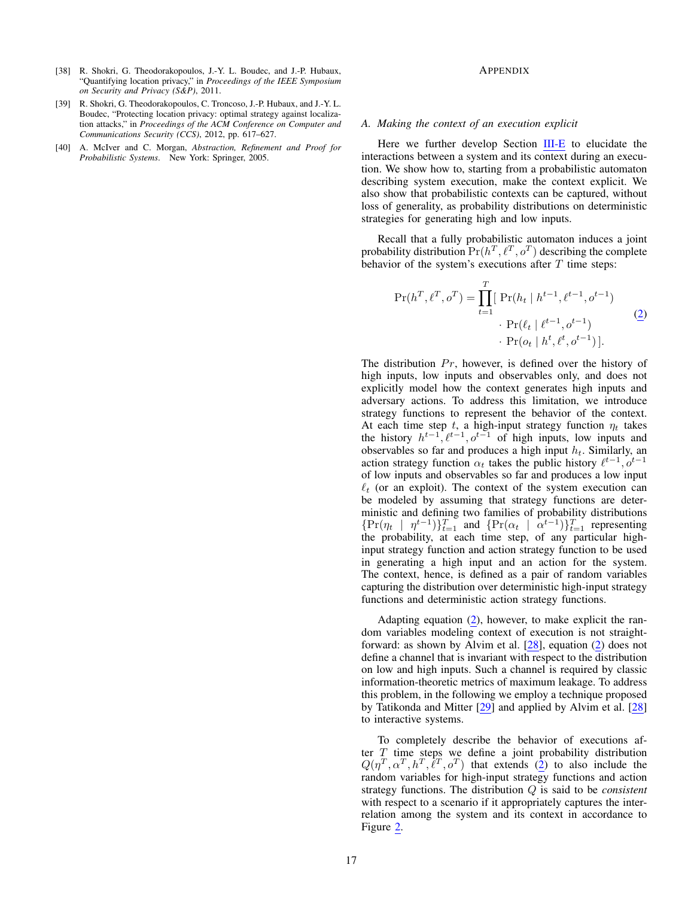- <span id="page-16-1"></span>[38] R. Shokri, G. Theodorakopoulos, J.-Y. L. Boudec, and J.-P. Hubaux, "Quantifying location privacy," in *Proceedings of the IEEE Symposium on Security and Privacy (S&P)*, 2011.
- <span id="page-16-2"></span>[39] R. Shokri, G. Theodorakopoulos, C. Troncoso, J.-P. Hubaux, and J.-Y. L. Boudec, "Protecting location privacy: optimal strategy against localization attacks," in *Proceedings of the ACM Conference on Computer and Communications Security (CCS)*, 2012, pp. 617–627.
- <span id="page-16-3"></span>[40] A. McIver and C. Morgan, *Abstraction, Refinement and Proof for Probabilistic Systems*. New York: Springer, 2005.

## APPENDIX

## <span id="page-16-0"></span>*A. Making the context of an execution explicit*

Here we further develop Section [III-E](#page-3-1) to elucidate the interactions between a system and its context during an execution. We show how to, starting from a probabilistic automaton describing system execution, make the context explicit. We also show that probabilistic contexts can be captured, without loss of generality, as probability distributions on deterministic strategies for generating high and low inputs.

Recall that a fully probabilistic automaton induces a joint probability distribution  $Pr(h^T, \ell^T, o^T)$  describing the complete behavior of the system's executions after  $T$  time steps:

<span id="page-16-4"></span>
$$
\Pr(h^T, \ell^T, o^T) = \prod_{t=1}^T [\Pr(h_t \mid h^{t-1}, \ell^{t-1}, o^{t-1})
$$
  
 
$$
\Pr(\ell_t \mid \ell^{t-1}, o^{t-1})
$$
  
 
$$
\Pr(o_t \mid h^t, \ell^t, o^{t-1})].
$$
 (2)

The distribution  $Pr$ , however, is defined over the history of high inputs, low inputs and observables only, and does not explicitly model how the context generates high inputs and adversary actions. To address this limitation, we introduce strategy functions to represent the behavior of the context. At each time step t, a high-input strategy function  $\eta_t$  takes the history  $h^{t-1}$ ,  $\ell^{t-1}$ ,  $o^{t-1}$  of high inputs, low inputs and observables so far and produces a high input  $h_t$ . Similarly, an action strategy function  $\alpha_t$  takes the public history  $\ell^{t-1}$ ,  $o^{t-1}$ of low inputs and observables so far and produces a low input  $\ell_t$  (or an exploit). The context of the system execution can be modeled by assuming that strategy functions are deterministic and defining two families of probability distributions  $\{\Pr(\eta_t \mid \eta^{t-1})\}_{t=1}^T$  and  $\{\Pr(\alpha_t \mid \alpha^{t-1})\}_{t=1}^T$  representing the probability, at each time step, of any particular highinput strategy function and action strategy function to be used in generating a high input and an action for the system. The context, hence, is defined as a pair of random variables capturing the distribution over deterministic high-input strategy functions and deterministic action strategy functions.

Adapting equation [\(2\)](#page-2-4), however, to make explicit the random variables modeling context of execution is not straightforward: as shown by Alvim et al. [\[28\]](#page-15-22), equation [\(2\)](#page-2-4) does not define a channel that is invariant with respect to the distribution on low and high inputs. Such a channel is required by classic information-theoretic metrics of maximum leakage. To address this problem, in the following we employ a technique proposed by Tatikonda and Mitter [\[29\]](#page-15-23) and applied by Alvim et al. [\[28\]](#page-15-22) to interactive systems.

To completely describe the behavior of executions after  $T$  time steps we define a joint probability distribution  $Q(\eta^T, \alpha^T, h^T, \bar{\ell}^T, \sigma^T)$  that extends [\(2\)](#page-2-4) to also include the random variables for high-input strategy functions and action strategy functions. The distribution Q is said to be *consistent* with respect to a scenario if it appropriately captures the interrelation among the system and its context in accordance to Figure [2.](#page-2-3)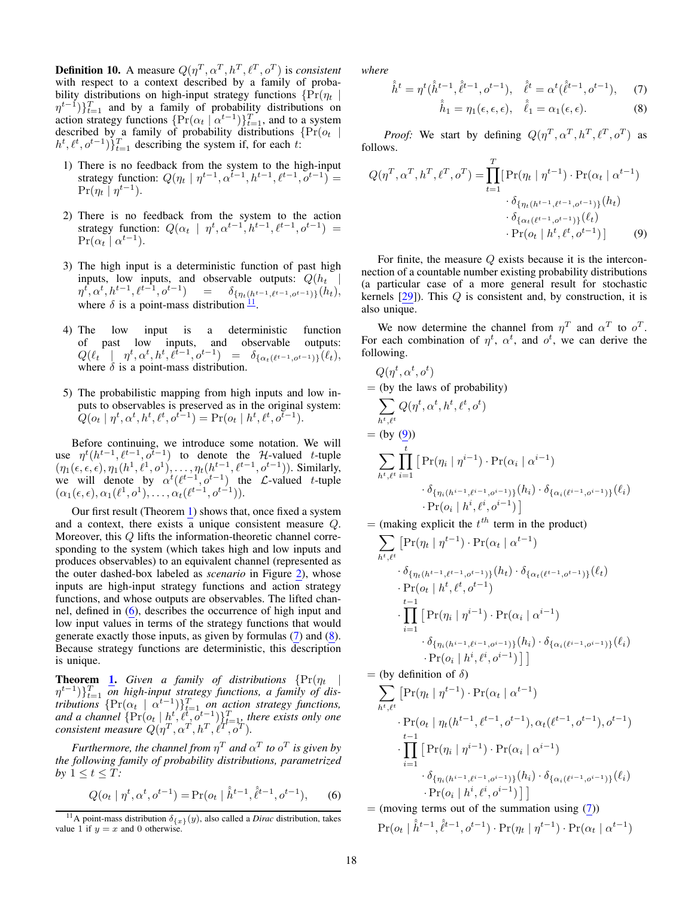**Definition 10.** A measure  $Q(\eta^T, \alpha^T, h^T, \ell^T, \sigma^T)$  is *consistent* with respect to a context described by a family of probability distributions on high-input strategy functions  $\{Pr(\eta_t | \theta)$  $(\eta^{t-1})\}_{t=1}^T$  and by a family of probability distributions on action strategy functions  $\{\Pr(\alpha_t | \alpha^{t-1})\}_{t=1}^T$ , and to a system described by a family of probability distributions  $\{Pr(o_t |$  $h^t, \ell^t, o^{t-1})\}_{t=1}^T$  describing the system if, for each t:

- 1) There is no feedback from the system to the high-input strategy function:  $Q(\eta_t | \eta^{t-1}, \alpha^{\overline{t}-1}, h^{t-1}, \ell^{t-1}, \alpha^{t-1}) =$  $\Pr(\eta_t | \eta^{t-1}).$
- 2) There is no feedback from the system to the action strategy function:  $Q(\alpha_t | \eta^t, \alpha^{t-1}, h^{t-1}, \ell^{t-1}, o^{t-1}) =$  $Pr(\alpha_t | \alpha^{t-1}).$
- 3) The high input is a deterministic function of past high inputs, low inputs, and observable outputs:  $Q(h_t |$  $\eta^{\bar{t}}, \alpha^t, h^{t-1}, \ell^{t-1}, o^{t-1}) \quad = \quad \delta_{\{\eta_t(h^{t-1},\ell^{t-1},o^{t-1})\}}(h_t),$ where  $\delta$  is a point-mass distribution  $\frac{11}{1}$  $\frac{11}{1}$  $\frac{11}{1}$ .
- 4) The low input is a deterministic function of past low inputs, and observable outputs:  $Q(\ell_t \quad | \quad \eta^t, \alpha^t, h^t, \ell^{\overline{t}-1}, o^{t-1}) \quad = \quad \delta_{\{\alpha_t(\ell^{t-1}, o^{t-1})\}}(\ell_t),$ where  $\delta$  is a point-mass distribution.
- 5) The probabilistic mapping from high inputs and low inputs to observables is preserved as in the original system:  $Q(o_t | \eta^t, \alpha^t, h^t, \ell^t, o^{t-1}) = Pr(o_t | h^t, \ell^t, o^{t-1}).$

Before continuing, we introduce some notation. We will use  $\eta^t(h^{t-1}, \ell^{t-1}, o^{\overline{t}-1})$  to denote the H-valued t-tuple  $(\eta_1(\epsilon, \epsilon), \eta_1(h^1, \ell^1, o^1), \dots, \eta_t(h^{t-1}, \ell^{t-1}, o^{t-1}))$ . Similarly, we will denote by  $\alpha^t(\ell^{t-1}, o^{t-1})$  the *L*-valued t-tuple  $(\alpha_1(\epsilon, \epsilon), \alpha_1(\ell^1, o^1), \ldots, \alpha_t(\ell^{t-1}, o^{t-1})).$ 

Our first result (Theorem [1\)](#page-3-3) shows that, once fixed a system and a context, there exists a unique consistent measure Q. Moreover, this Q lifts the information-theoretic channel corresponding to the system (which takes high and low inputs and produces observables) to an equivalent channel (represented as the outer dashed-box labeled as *scenario* in Figure [2\)](#page-2-3), whose inputs are high-input strategy functions and action strategy functions, and whose outputs are observables. The lifted channel, defined in [\(6\)](#page-16-4), describes the occurrence of high input and low input values in terms of the strategy functions that would generate exactly those inputs, as given by formulas [\(7\)](#page-17-1) and [\(8\)](#page-17-2). Because strategy functions are deterministic, this description is unique.

**Theorem [1.](#page-3-3)** Given a family of distributions  $\{Pr(\eta_t | \theta)$  $(n<sup>t-1</sup>)$ }<sup>T</sup><sub>t=1</sub> *on high-input strategy functions, a family of distributions*  $\{Pr(\alpha_t \mid \alpha^{t-1})\}_{t=1}^T$  *on action strategy functions,* and a channel  $\{ \Pr(o_t | h^t, \ell^t, o^{t-1}) \}_{t=1}^T$  there exists only one *consistent measure*  $Q(\eta^T, \alpha^T, h^T, \ell^T, \sigma^T)$ *.* 

*Furthermore, the channel from*  $\eta^T$  and  $\alpha^T$  to  $o^T$  is given by *the following family of probability distributions, parametrized by*  $1 \leq t \leq T$ *:* 

$$
Q(o_t | \eta^t, \alpha^t, o^{t-1}) = \Pr(o_t | \hat{h}^{t-1}, \hat{\ell}^{t-1}, o^{t-1}), \quad (6)
$$

*where*

$$
\hat{\hat{h}}^t = \eta^t(\hat{\hat{h}}^{t-1}, \hat{\hat{\ell}}^{t-1}, o^{t-1}), \quad \hat{\hat{\ell}}^t = \alpha^t(\hat{\hat{\ell}}^{t-1}, o^{t-1}), \quad (7)
$$

$$
\hat{\hat{h}}_1 = \eta_1(\epsilon, \epsilon, \epsilon), \quad \hat{\hat{\ell}}_1 = \alpha_1(\epsilon, \epsilon). \quad (8)
$$

<span id="page-17-3"></span><span id="page-17-2"></span><span id="page-17-1"></span>
$$
\hat{\hat{h}}_1 = \eta_1(\epsilon, \epsilon, \epsilon), \quad \hat{\hat{\ell}}_1 = \alpha_1(\epsilon, \epsilon). \tag{8}
$$

*Proof:* We start by defining  $Q(\eta^T, \alpha^T, h^T, \ell^T, \sigma^T)$  as follows.

$$
Q(\eta^T, \alpha^T, h^T, \ell^T, \sigma^T) = \prod_{t=1}^T [\Pr(\eta_t | \eta^{t-1}) \cdot \Pr(\alpha_t | \alpha^{t-1})
$$

$$
\cdot \delta_{\{\eta_t(h^{t-1}, \ell^{t-1}, \sigma^{t-1})\}}(h_t)
$$

$$
\cdot \delta_{\{\alpha_t(\ell^{t-1}, \sigma^{t-1})\}}(\ell_t)
$$

$$
\cdot \Pr(o_t | h^t, \ell^t, \sigma^{t-1})] \tag{9}
$$

For finite, the measure Q exists because it is the interconnection of a countable number existing probability distributions (a particular case of a more general result for stochastic kernels  $[29]$ ). This  $Q$  is consistent and, by construction, it is also unique.

We now determine the channel from  $\eta^T$  and  $\alpha^T$  to  $\sigma^T$ . For each combination of  $\eta^t$ ,  $\alpha^t$ , and  $\sigma^t$ , we can derive the following.

$$
Q(\eta^t, \alpha^t, o^t)
$$
  
= (by the laws of probability)  

$$
\sum_{h^t, \ell^t} Q(\eta^t, \alpha^t, h^t, \ell^t, o^t)
$$
  
= (by (9))  

$$
\sum_{h^t, \ell^t} \prod_{i=1}^t \left[ \Pr(\eta_i \mid \eta^{i-1}) \cdot \Pr(\alpha_i \mid \alpha^{i-1}) - \delta_{\{\eta_i(h^{i-1}, \ell^{i-1}, o^{i-1})\}}(h_i) \cdot \delta_{\{\alpha_i(\ell^{i-1}, o^{i-1})\}}(\ell_i) - \Pr(o_i \mid h^i, \ell^i, o^{i-1})\right]
$$

 $=$  (making explicit the  $t^{th}$  term in the product)

$$
\sum_{h^t, \ell^t} \left[ \Pr(\eta_t \mid \eta^{t-1}) \cdot \Pr(\alpha_t \mid \alpha^{t-1}) - \delta_{\{\eta_t(h^{t-1}, \ell^{t-1}, o^{t-1})\}}(h_t) \cdot \delta_{\{\alpha_t(\ell^{t-1}, o^{t-1})\}}(\ell_t) - \Pr(o_t \mid h^t, \ell^t, o^{t-1}) - \prod_{i=1}^{t-1} \left[ \Pr(\eta_i \mid \eta^{i-1}) \cdot \Pr(\alpha_i \mid \alpha^{i-1}) - \delta_{\{\eta_i(h^{i-1}, \ell^{i-1}, o^{i-1})\}}(h_i) \cdot \delta_{\{\alpha_i(\ell^{i-1}, o^{i-1})\}}(\ell_i) - \Pr(o_i \mid h^i, \ell^i, o^{i-1}) \right] \right]
$$

 $=$  (by definition of  $\delta$ )

$$
\sum_{h^t, \ell^t} \left[ \Pr(\eta_t \mid \eta^{t-1}) \cdot \Pr(\alpha_t \mid \alpha^{t-1}) \right. \\ \left. \cdot \Pr(\alpha_t \mid \eta_t(h^{t-1}, \ell^{t-1}, o^{t-1}), \alpha_t(\ell^{t-1}, o^{t-1}), o^{t-1}) \right. \\ \left. \cdot \prod_{i=1}^{t-1} \left[ \Pr(\eta_i \mid \eta^{i-1}) \cdot \Pr(\alpha_i \mid \alpha^{i-1}) \right. \\ \left. \cdot \delta_{\{\eta_i(h^{i-1}, \ell^{i-1}, o^{i-1})\}}(h_i) \cdot \delta_{\{\alpha_i(\ell^{i-1}, o^{i-1})\}}(\ell_i) \right. \\ \left. \cdot \Pr(o_i \mid h^i, \ell^i, o^{i-1}) \right] \right]
$$

 $=$  (moving terms out of the summation using  $(7)$ )  $Pr(o_t | \hat{h}^{t-1}, \hat{\ell}^{t-1}, o^{t-1}) \cdot Pr(\eta_t | \eta^{t-1}) \cdot Pr(\alpha_t | \alpha^{t-1})$ 

<span id="page-17-0"></span><sup>&</sup>lt;sup>11</sup>A point-mass distribution  $\delta_{\{x\}}(y)$ , also called a *Dirac* distribution, takes value 1 if  $y = x$  and 0 otherwise.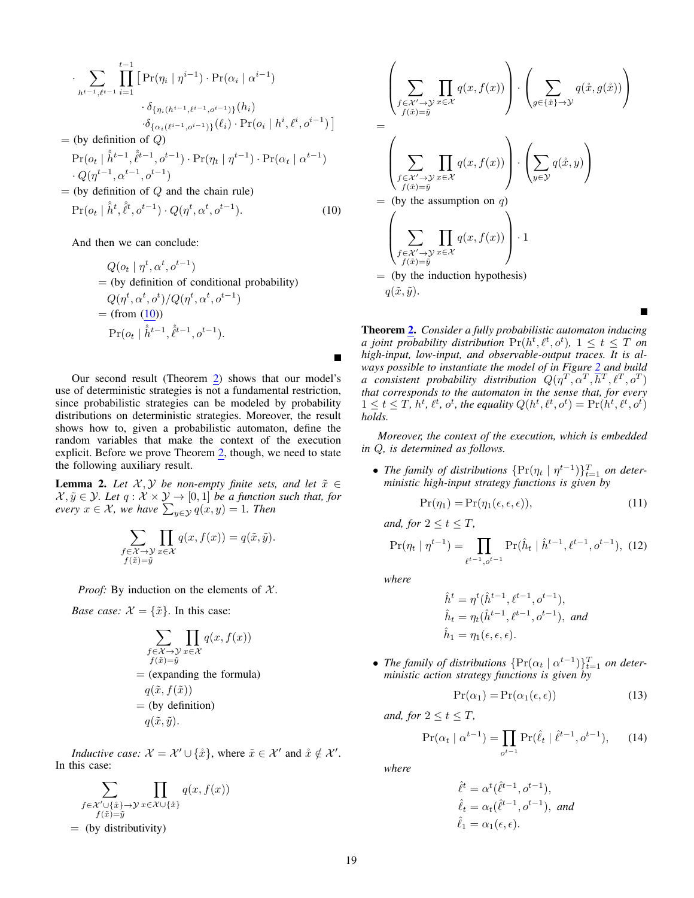$$
\sum_{h^{t-1}, \ell^{t-1}} \prod_{i=1}^{t-1} \left[ \Pr(\eta_i \mid \eta^{i-1}) \cdot \Pr(\alpha_i \mid \alpha^{i-1}) \right. \\ \left. \qquad \qquad \delta_{\{\eta_i(h^{i-1}, \ell^{i-1}, o^{i-1})\}}(h_i) \right. \\ \left. \qquad \qquad \delta_{\{\alpha_i(\ell^{i-1}, o^{i-1})\}}(\ell_i) \cdot \Pr(o_i \mid h^i, \ell^i, o^{i-1}) \right]
$$
\n= (by definition of *Q*)  
\n
$$
\Pr(o_t \mid \hat{h}^{t-1}, \hat{\ell}^{t-1}, o^{t-1}) \cdot \Pr(\eta_t \mid \eta^{t-1}) \cdot \Pr(\alpha_t \mid \alpha^{t-1})
$$
\n
$$
\cdot Q(\eta^{t-1}, \alpha^{t-1}, o^{t-1})
$$

 $=$  (by definition of  $Q$  and the chain rule)  $\Pr(o_t \mid \hat{\hat{h}}^t, \hat{\hat{\ell}}^t, o^{t-1}) \cdot Q(\eta^t, \alpha^t, o^{t-1})$ 

And then we can conclude:

$$
Q(o_t | \eta^t, \alpha^t, o^{t-1})
$$
  
= (by definition of conditional probability)  

$$
Q(\eta^t, \alpha^t, o^t) / Q(\eta^t, \alpha^t, o^{t-1})
$$
  
= (from (10))  

$$
Pr(o_t | \hat{h}^{t-1}, \hat{\ell}^{t-1}, o^{t-1}).
$$

Our second result (Theorem [2\)](#page-3-0) shows that our model's use of deterministic strategies is not a fundamental restriction, since probabilistic strategies can be modeled by probability distributions on deterministic strategies. Moreover, the result shows how to, given a probabilistic automaton, define the random variables that make the context of the execution explicit. Before we prove Theorem [2,](#page-3-0) though, we need to state the following auxiliary result.

<span id="page-18-3"></span>**Lemma 2.** *Let*  $X, Y$  *be non-empty finite sets, and let*  $\tilde{x} \in$  $\mathcal{X}, \tilde{y} \in \mathcal{Y}$ *. Let*  $q : \mathcal{X} \times \mathcal{Y} \rightarrow [0, 1]$  *be a function such that, for every*  $x \in \mathcal{X}$ , we have  $\sum_{y \in \mathcal{Y}} q(x, y) = 1$ . Then

$$
\sum_{\substack{f \in \mathcal{X} \to \mathcal{Y} \\ f(\tilde{x}) = \tilde{y}}} \prod_{x \in \mathcal{X}} q(x, f(x)) = q(\tilde{x}, \tilde{y}).
$$

*Proof:* By induction on the elements of  $X$ .

*Base case:*  $\mathcal{X} = {\tilde{x}}$ . In this case:

$$
\sum_{\substack{f \in \mathcal{X} \to \mathcal{Y} \\ f(\tilde{x}) = \tilde{y}}} \prod_{x \in \mathcal{X}} q(x, f(x))
$$
\n= (expanding the formula)  
\n
$$
q(\tilde{x}, f(\tilde{x}))
$$
\n= (by definition)  
\n
$$
q(\tilde{x}, \tilde{y}).
$$

*Inductive case:*  $\mathcal{X} = \mathcal{X}' \cup \{\mathring{x}\}\$ , where  $\tilde{x} \in \mathcal{X}'$  and  $\mathring{x} \notin \mathcal{X}'$ . In this case:

$$
\sum_{\substack{f \in \mathcal{X}' \cup \{\hat{x}\} \to \mathcal{Y} \ x \in \mathcal{X} \cup \{\hat{x}\} \\ f(\hat{x}) = \tilde{y}}} \prod_{q(x, f(x)) \neq \emptyset} q(x, f(x))
$$
\n= (by distributivity)

$$
\left(\sum_{\substack{f \in \mathcal{X}^{\prime} \to \mathcal{Y} \\ f(\tilde{x}) = \tilde{y}}}\prod_{x \in \mathcal{X}} q(x, f(x)) \right) \cdot \left(\sum_{g \in \{\tilde{x}\} \to \mathcal{Y}} q(\tilde{x}, g(\tilde{x}))\right)
$$
\n
$$
= \left(\sum_{\substack{f \in \mathcal{X}^{\prime} \to \mathcal{Y} \\ f(\tilde{x}) = \tilde{y} \\ g(\tilde{x}) = \tilde{y}}}\prod_{x \in \mathcal{X}} q(x, f(x)) \right) \cdot \left(\sum_{y \in \mathcal{Y}} q(\tilde{x}, y)\right)
$$
\n
$$
= \left(\text{by the assumption on } q\right)
$$
\n
$$
\left(\sum_{\substack{f \in \mathcal{X}^{\prime} \to \mathcal{Y} \\ f(\tilde{x}) = \tilde{y} \\ g(\tilde{x}, \tilde{y}) = \tilde{y}}}\prod_{x \in \mathcal{X}} q(x, f(x)) \right) \cdot 1
$$

Theorem [2.](#page-3-0) *Consider a fully probabilistic automaton inducing a joint probability distribution*  $Pr(h^t, \ell^t, o^t)$ ,  $1 \le t \le T$  *on high-input, low-input, and observable-output traces. It is always possible to instantiate the model of in Figure [2](#page-2-3) and build a* consistent probability distribution  $Q(\eta^T, \alpha^T, \overline{h}^T, \ell^T, o^T)$ *that corresponds to the automaton in the sense that, for every*  $1 \leq t \leq T$ ,  $h^t$ ,  $\ell^t$ ,  $o^t$ , the equality  $Q(h^t, \ell^t, o^t) = \Pr(h^t, \ell^t, o^t)$ *holds.*

*Moreover, the context of the execution, which is embedded in* Q*, is determined as follows.*

• The family of distributions  $\{ \Pr(\eta_t | \eta^{t-1}) \}_{t=1}^T$  on deter*ministic high-input strategy functions is given by*

$$
\Pr(\eta_1) = \Pr(\eta_1(\epsilon, \epsilon, \epsilon)),\tag{11}
$$

<span id="page-18-1"></span> $\blacksquare$ 

*and, for*  $2 \le t \le T$ *,* 

$$
\Pr(\eta_t \mid \eta^{t-1}) = \prod_{\ell^{t-1}, o^{t-1}} \Pr(\hat{h}_t \mid \hat{h}^{t-1}, \ell^{t-1}, o^{t-1}), \tag{12}
$$

*where*

<span id="page-18-0"></span> $(10)$ 

<span id="page-18-4"></span>
$$
\hat{h}^t = \eta^t(\hat{h}^{t-1}, \ell^{t-1}, o^{t-1}),
$$
  

$$
\hat{h}_t = \eta_t(\hat{h}^{t-1}, \ell^{t-1}, o^{t-1}), \text{ and}
$$
  

$$
\hat{h}_1 = \eta_1(\epsilon, \epsilon, \epsilon).
$$

• *The family of distributions*  $\{ \Pr(\alpha_t | \alpha^{t-1}) \}_{t=1}^T$  *on deterministic action strategy functions is given by*

<span id="page-18-5"></span><span id="page-18-2"></span>
$$
Pr(\alpha_1) = Pr(\alpha_1(\epsilon, \epsilon))
$$
\n(13)

*and, for*  $2 \le t \le T$ *,* 

$$
\Pr(\alpha_t \mid \alpha^{t-1}) = \prod_{o^{t-1}} \Pr(\hat{\ell}_t \mid \hat{\ell}^{t-1}, o^{t-1}), \qquad (14)
$$

*where*

$$
\begin{aligned}\n\hat{\ell}^t &= \alpha^t(\hat{\ell}^{t-1}, o^{t-1}), \\
\hat{\ell}_t &= \alpha_t(\hat{\ell}^{t-1}, o^{t-1}), \text{ and} \\
\hat{\ell}_1 &= \alpha_1(\epsilon, \epsilon).\n\end{aligned}
$$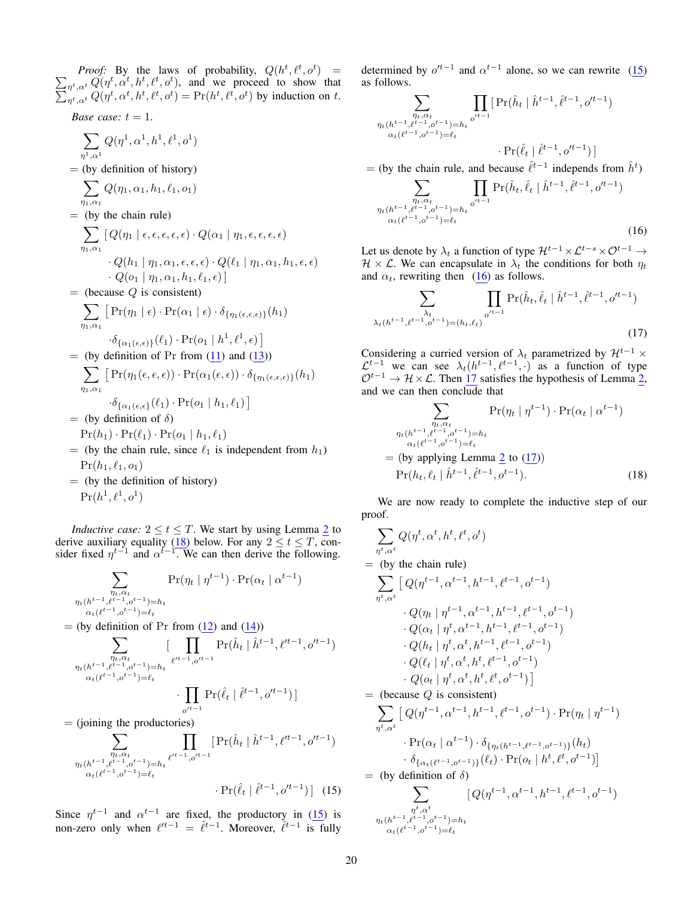*Proof:* By the laws of probability,  $Q(h^t, \ell^t, o^t)$  =  $\sum_{\eta^t, \alpha^t} Q(\eta^t, \alpha^t, h^t, \ell^t, o^t)$  $\sum$ ), and we proceed to show that  $\int_{\eta^t, \alpha^t} Q(\eta^t, \alpha^t, h^t, \ell^t, o^t) = \Pr(h^t, \ell^t, o^t)$  by induction on t.

Base case: t = 1.  
\n
$$
\sum_{\eta^1, \alpha^1} Q(\eta^1, \alpha^1, h^1, \ell^1, o^1)
$$
\n= (by definition of history)  
\n
$$
\sum_{\eta_1, \alpha_1} Q(\eta_1, \alpha_1, h_1, \ell_1, o_1)
$$
\n= (by the chain rule)  
\n
$$
\sum_{\eta_1, \alpha_1} [Q(\eta_1 \mid \epsilon, \epsilon, \epsilon, \epsilon, \epsilon) \cdot Q(\alpha_1 \mid \eta_1, \epsilon, \epsilon, \epsilon, \epsilon)
$$
\n•  $Q(h_1 \mid \eta_1, \alpha_1, \epsilon, \epsilon, \epsilon) \cdot Q(\ell_1 \mid \eta_1, \alpha_1, h_1, \epsilon, \epsilon)$   
\n•  $Q(o_1 \mid \eta_1, \alpha_1, h_1, \ell_1, \epsilon)$ ]  
\n= (because Q is consistent)  
\n
$$
\sum_{\eta_1, \alpha_1} [Pr(\eta_1 \mid \epsilon) \cdot Pr(\alpha_1 \mid \epsilon) \cdot \delta_{\{\eta_1(\epsilon, \epsilon, \epsilon)\}}(h_1)
$$
\n•  $\delta_{\{\alpha_1(\epsilon, \epsilon)\}}(l_1) \cdot Pr(o_1 \mid h^1, \ell^1, \epsilon)$ ]  
\n= (by definition of Pr from (11) and (13))  
\n
$$
\sum_{\eta_1, \alpha_1} [Pr(\eta_1(\epsilon, \epsilon, \epsilon)) \cdot Pr(\alpha_1(\epsilon, \epsilon)) \cdot \delta_{\{\eta_1(\epsilon, \epsilon, \epsilon)\}}(h_1)
$$
\n•  $\delta_{\{\alpha_1(\epsilon, \epsilon\}}(\ell_1) \cdot Pr(o_1 \mid h_1, \ell_1)]$   
\n= (by definition of δ)  
\n
$$
Pr(h_1) \cdot Pr(\ell_1) \cdot Pr(o_1 \mid h_1, \ell_1)
$$
  
\n= (by the chain rule, since  $l_1$  is independent from  $h_1$ )  
\n
$$
Pr(h_1, \ell_1, o_1)
$$
  
\n= (by the definition of history)  
\n
$$
Pr(h_1^1, \ell^1, o^1)
$$

*Inductive case:*  $2 \le t \le T$  $2 \le t \le T$ . We start by using Lemma 2 to derive auxiliary equality [\(18\)](#page-19-0) below. For any  $2 \le t \le T$ , consider fixed  $\eta^{t-1}$  and  $\alpha^{t-1}$ . We can then derive the following.

$$
\sum_{\substack{\eta_t, \alpha_t \\ \eta_t(h^{t-1}, \ell^{t-1}, o^{t-1}) = h_t \\ \alpha_t(\ell^{t-1}, o^{t-1}) = \ell_t}} \Pr(\eta_t | \eta^{t-1}) \cdot \Pr(\alpha_t | \alpha^{t-1})
$$

 $=$  (by definition of Pr from  $(12)$  and  $(14)$ )

$$
\sum_{\substack{\eta_t(h^{t-1}, \ell^{t-1}, o^{t-1}) = h_t \\ \alpha_t(\ell^{t-1}, o^{t-1}) = \ell_t}} \left[ \prod_{\ell'^{t-1}, o'^{t-1}} \Pr(\hat{h}_t | \hat{h}^{t-1}, \ell'^{t-1}, o'^{t-1}) \right] \\ \cdot \prod_{o'^{t-1}} \Pr(\hat{\ell}_t | \hat{\ell}^{t-1}, o'^{t-1}) \left]
$$

= (joining the productories)

<span id="page-19-1"></span>
$$
\sum_{\substack{\eta_t(\hat{h}^{t-1}, \ell^{t-1}, o^{t-1}) = h_t \\ \alpha_t(\ell^{t-1}, o^{t-1}) = \ell_t}} \prod_{\ell^{t-1}, o^{t-1}} [\Pr(\hat{h}_t \mid \hat{h}^{t-1}, \ell^{t-1}, o^{t-1}) \\ \cdots \prod_{\alpha_t(\ell^{t-1}, o^{t-1}) = \ell_t} [\Pr(\hat{\ell}_t \mid \hat{\ell}^{t-1}, o^{t-1})] \tag{15}
$$

Since  $\eta^{t-1}$  and  $\alpha^{t-1}$  are fixed, the productory in [\(15\)](#page-19-1) is non-zero only when  $\ell'^{t-1} = \hat{\ell}^{t-1}$ . Moreover,  $\hat{\ell}^{t-1}$  is fully

determined by  $o^{t-1}$  and  $\alpha^{t-1}$  alone, so we can rewrite [\(15\)](#page-19-1) as follows.

$$
\sum_{\substack{\eta_t, \alpha_t \\ \alpha_t(\ell^{t-1}, \ell^{t-1}) = h_t}} \prod_{o'^{t-1}} [\Pr(\hat{h}_t | \hat{h}^{t-1}, \hat{\ell}^{t-1}, o'^{t-1})
$$
\n
$$
\xrightarrow{\alpha_t(\ell^{t-1}, o^{t-1}) = \ell_t} \cdot \Pr(\hat{\ell}_t | \hat{\ell}^{t-1}, o'^{t-1})]
$$
\n= (by the chain rule, and because  $\hat{\ell}^{t-1}$  independently from  $\hat{h}^t$ \n
$$
\sum_{\lambda} \prod_{v \in \hat{h}_t} \Pr(\hat{h}_t, \hat{\ell}_t | \hat{h}^{t-1}, \hat{\ell}^{t-1}, o'^{t-1})
$$

 $\hat{h}^t$ 

<span id="page-19-2"></span>
$$
\sum_{\substack{\eta_t, \alpha_t \\ \eta_t(h^{t-1}, \ell^{t-1}, o^{t-1}) = h_t \\ \alpha_t(\ell^{t-1}, o^{t-1}) = \ell_t}} \prod_{o'^{t-1}} \Pr(h_t, \ell_t \mid h^{s-1}, \ell^{s-1}, o^{s-1})
$$
\n(16)

Let us denote by  $\lambda_t$  a function of type  $\mathcal{H}^{t-1}\times\mathcal{L}^{t-s}\times\mathcal{O}^{t-1}\to$  $H \times \mathcal{L}$ . We can encapsulate in  $\lambda_t$  the conditions for both  $\eta_t$ and  $\alpha_t$ , rewriting then [\(16\)](#page-19-2) as follows.

$$
\sum_{\substack{\lambda_t \\ \lambda_t(h^{t-1}, \ell^{t-1}, o^{t-1}) = (h_t, \ell_t)}} \prod_{o^{t-1}} \Pr(\hat{h}_t, \hat{\ell}_t \mid \hat{h}^{t-1}, \hat{\ell}^{t-1}, o^{t-1})
$$
\n(17)

Considering a curried version of  $\lambda_t$  parametrized by  $\mathcal{H}^{t-1}$  ×  $\mathcal{L}^{t-1}$  we can see  $\lambda_t(h^{t-1}, \ell^{t-1}, \cdot)$  as a function of type  $\mathcal{O}^{t-1} \to \mathcal{H} \times \mathcal{L}$ . Then [17](#page-19-3) satisfies the hypothesis of Lemma [2,](#page-18-3) and we can then conclude that

<span id="page-19-3"></span><span id="page-19-0"></span>
$$
\sum_{\substack{\eta_t, \alpha_t \\ \alpha_t(t^{t-1}, \ell^{t-1}, o^{t-1}) = h_t \\ \alpha_t(\ell^{t-1}, o^{t-1}) = \ell_t}} \Pr(\eta_t | \eta^{t-1}) \cdot \Pr(\alpha_t | \alpha^{t-1})
$$
\n
$$
= (\text{by applying Lemma 2 to (17))}
$$
\n
$$
\Pr(h_t, \ell_t | \hat{h}^{t-1}, \hat{\ell}^{t-1}, o^{t-1}).
$$
\n(18)

We are now ready to complete the inductive step of our proof.

$$
\sum_{\eta^{t},\alpha^{t}} Q(\eta^{t}, \alpha^{t}, h^{t}, \ell^{t}, o^{t})
$$
\n= (by the chain rule)\n
$$
\sum_{\eta^{t},\alpha^{t}} [Q(\eta^{t-1}, \alpha^{t-1}, h^{t-1}, \ell^{t-1}, o^{t-1})
$$
\n
$$
\cdot Q(\eta_{t} | \eta^{t-1}, \alpha^{t-1}, h^{t-1}, \ell^{t-1}, o^{t-1})
$$
\n
$$
\cdot Q(\alpha_{t} | \eta^{t}, \alpha^{t-1}, h^{t-1}, \ell^{t-1}, o^{t-1})
$$
\n
$$
\cdot Q(h_{t} | \eta^{t}, \alpha^{t}, h^{t-1}, \ell^{t-1}, o^{t-1})
$$
\n
$$
\cdot Q(\ell_{t} | \eta^{t}, \alpha^{t}, h^{t}, \ell^{t-1}, o^{t-1})
$$
\n
$$
\cdot Q(o_{t} | \eta^{t}, \alpha^{t}, h^{t}, \ell^{t}, o^{t-1})]
$$
\n= (because Q is consistent)\n
$$
\sum_{\eta^{t},\alpha^{t}} [Q(\eta^{t-1}, \alpha^{t-1}, h^{t-1}, \ell^{t-1}, o^{t-1}) \cdot \Pr(\eta_{t} | \eta^{t-1})
$$
\n
$$
\cdot \Pr(\alpha_{t} | \alpha^{t-1}) \cdot \delta_{\{\eta_{t}(h^{t-1}, \ell^{t-1}, o^{t-1})\}}(h_{t})
$$
\n
$$
\cdot \delta_{\{\alpha_{t}(\ell^{t-1}, o^{t-1})\}}(\ell_{t}) \cdot \Pr(o_{t} | h^{t}, \ell^{t}, o^{t-1})]
$$
\n= (by definition of  $\delta$ )\n
$$
\sum_{\eta^{t},\alpha^{t}} [Q(\eta^{t-1}, \alpha^{t-1}, h^{t-1}, h^{t-1}, \ell^{t-1}, o^{t-1})]
$$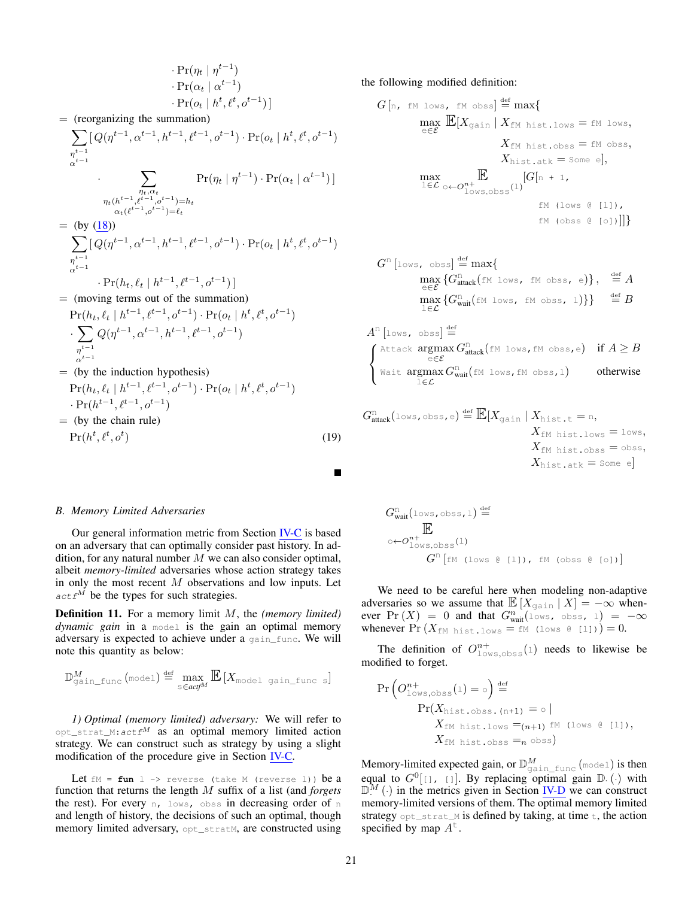$$
\cdot \Pr(\eta_t | \eta^{t-1})
$$
  
\n
$$
\cdot \Pr(\alpha_t | \alpha^{t-1})
$$
  
\n
$$
\cdot \Pr(o_t | h^t, \ell^t, o^{t-1})
$$

= (reorganizing the summation)  $\sum$  $\eta^{t-1}$  $\alpha^{t-1}$  $[Q(\eta^{t-1}, \alpha^{t-1}, h^{t-1}, \ell^{t-1}, o^{t-1}) \cdot \Pr(o_t | h^t, \ell^t, o^{t-1})]$  $\cdot$   $\sum$  $\overline{\eta_t, \alpha_t}$  $\eta_t(h^{t-1}, \ell^{t-1}, o^{t-1}) = h_t$  $\alpha_t(\ell^{t-1},o^{t-1}) = \ell_t$  $Pr(\eta_t | \eta^{t-1}) \cdot Pr(\alpha_t | \alpha^{t-1})]$  $=$  (by [\(18\)](#page-19-0))  $\sum$  $\eta^{t-1}$  $\alpha^{t-1}$  $[Q(\eta^{t-1}, \alpha^{t-1}, h^{t-1}, \ell^{t-1}, o^{t-1}) \cdot Pr(o_t | h^t, \ell^t, o^{t-1})]$  $\cdot \Pr(h_t, \ell_t \mid h^{t-1}, \ell^{t-1}, o^{t-1})$ = (moving terms out of the summation)  $Pr(h_t, \ell_t | h^{t-1}, \ell^{t-1}, o^{t-1}) \cdot Pr(o_t | h^t, \ell^t, o^{t-1})$ 

$$
\sum_{\substack{\eta^{t-1} \\ \alpha^{t-1}}} Q(\eta^{t-1}, \alpha^{t-1}, h^{t-1}, \ell^{t-1}, o^{t-1})
$$
  
= (by the induction hypothesis)

- $Pr(h_t, \ell_t | h^{t-1}, \ell^{t-1}, o^{t-1}) \cdot Pr(o_t | h^t, \ell^t, o^{t-1})$  $\cdot \Pr(h^{t-1}, \ell^{t-1}, o^{t-1})$
- $=$  (by the chain rule)  $\Pr(h^t, \ell^t, o^t)$  $)$  (19)

## <span id="page-20-0"></span>*B. Memory Limited Adversaries*

Our general information metric from Section [IV-C](#page-5-0) is based on an adversary that can optimally consider past history. In addition, for any natural number  $M$  we can also consider optimal, albeit *memory-limited* adversaries whose action strategy takes in only the most recent  $M$  observations and low inputs. Let  $actf^{M}$  be the types for such strategies.

Definition 11. For a memory limit M, the *(memory limited) dynamic gain* in a model is the gain an optimal memory adversary is expected to achieve under a gain\_func. We will note this quantity as below:

$$
\mathbb{D}_{\text{gain\_func}}^{M}\left(\text{model}\right) \stackrel{\text{def}}{=} \max_{s \in \textit{actf}^{M}} \mathbb{E}\left[X_{\text{model gain\_func s}}\right]
$$

*1) Optimal (memory limited) adversary:* We will refer to  $opt\_strat_M:actf^M$  as an optimal memory limited action strategy. We can construct such as strategy by using a slight modification of the procedure give in Section [IV-C.](#page-5-0)

Let  $fM = fun 1 \rightarrow reverse$  (take M (reverse 1)) be a function that returns the length M suffix of a list (and *forgets* the rest). For every n, lows, obss in decreasing order of n and length of history, the decisions of such an optimal, though memory limited adversary, opt\_stratM, are constructed using the following modified definition:

G [n, fM lows, fM obss] def = max{ max e∈E E[Xgain <sup>|</sup> <sup>X</sup>fM hist.lows <sup>=</sup> fM lows, XfM hist.obss = fM obss, Xhist.atk = Some e], max l∈L E o←O n+ lows,obss(l) [G[n + 1, fM (lows @ [l]), fM (obss @ [o])]]}

$$
G^{\text{n}}\left[\text{rows, obs}\right] \stackrel{\text{def}}{=} \max\left\{ \max_{\substack{e \in \mathcal{E} \\ e \in \mathcal{E}}} \left\{ G_{\text{attack}}^{\text{n}}(\text{fM loss, fM obs, e}) \right\}, \quad \stackrel{\text{def}}{=} A \max_{\substack{e \in \mathcal{E} \\ \text{nax}} } \left\{ G_{\text{wait}}^{\text{n}}(\text{fM loss, fM obs, 1}) \right\} \right\} \quad \stackrel{\text{def}}{=} B
$$

$$
A^n \left[ \text{loss, obss} \right] \stackrel{\text{def}}{=} \\ \begin{cases} \text{Attack } \text{argmax } G^n_{\text{attack}}(\text{fM loss}, \text{fM obs}, e) & \text{if } A \geq B \\ \text{wait } \text{argmax } G^n_{\text{wait}}(\text{fM loss}, \text{fM obs}, 1) & \text{otherwise} \end{cases}
$$

$$
G_{\text{attack}}^{\text{n}}(\text{loss, obss, e}) \stackrel{\text{def}}{=} \mathbb{E}[X_{\text{gain}} \mid X_{\text{hist. t}} = \text{n}, \quad X_{\text{fm} \text{ hist.} \text{loss}} = \text{loss}, \quad X_{\text{fm} \text{ hist.} \text{obss}} = \text{obss}, \quad X_{\text{hist.} \text{atk}} = \text{Some} \text{ e}]
$$

$$
G_{wait}^{n}(1 \text{ows}, \text{obss}, 1) \stackrel{\text{def}}{=} \mathbb{E}
$$
  
\n
$$
\circ \leftarrow O_{1 \text{ows}, \text{obss}}^{n+}(1)
$$
  
\n
$$
G^{n}[\text{fm (1ows @ [1]), fm (obss @ [0])}]
$$

We need to be careful here when modeling non-adaptive adversaries so we assume that  $\mathbb{E}[X_{\text{gain}} | X] = -\infty$  whenever Pr  $(X)$  = 0 and that  $G_{wait}^n(1 \text{ ows, obs, 1}) = -\infty$ whenever  $Pr(X_{fM \text{hist.} \text{lows}} = fM \text{ (lows } [1])) = 0.$ 

The definition of  $O_{\text{loss,obs}}^{n+}(\mathbf{1})$  needs to likewise be modified to forget.

$$
\Pr\left(O_{\text{Iows,obss}}^{n+}(1) = \circ\right) \stackrel{\text{def}}{=} \\ \Pr(X_{\text{hist.obss. (n+1)}} = \circ| \\ X_{\text{fM hist.loss}} = (n+1) \cdot \Pr(\text{Iows } @ [1]), \\ X_{\text{fM hist.obss}} = n \cdot \text{obss})
$$

Memory-limited expected gain, or  $\mathbb{D}_{\text{gain}\_\text{func}}^{M}$  (model) is then equal to  $G^0$ [[], []]. By replacing optimal gain  $\mathbb{D}$ . (.) with  $\mathbb{D}^M$  ( $\cdot$ ) in the metrics given in Section <u>[IV-D](#page-7-0)</u> we can construct memory-limited versions of them. The optimal memory limited strategy  $opt\_strat_M$  is defined by taking, at time  $t$ , the action specified by map  $A^{\dagger}$ .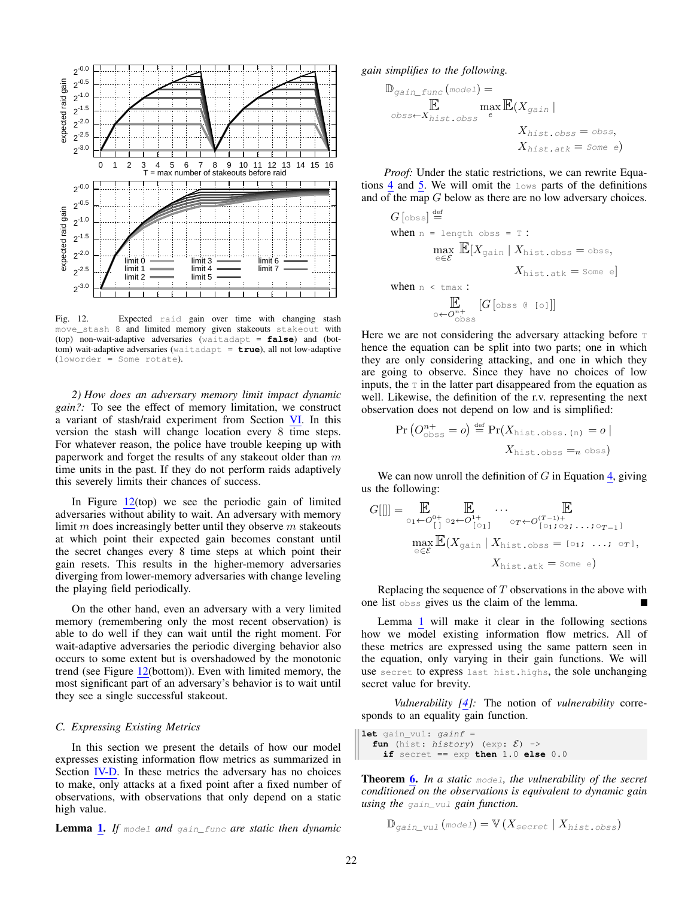

<span id="page-21-1"></span>Fig. 12. Expected raid gain over time with changing stash move\_stash 8 and limited memory given stakeouts stakeout with (top) non-wait-adaptive adversaries (waitadapt = **false**) and (bottom) wait-adaptive adversaries (waitadapt = **true**), all not low-adaptive (loworder = Some rotate).

*2) How does an adversary memory limit impact dynamic gain?:* To see the effect of memory limitation, we construct a variant of stash/raid experiment from Section [VI.](#page-9-0) In this version the stash will change location every 8 time steps. For whatever reason, the police have trouble keeping up with paperwork and forget the results of any stakeout older than  $m$ time units in the past. If they do not perform raids adaptively this severely limits their chances of success.

In Figure  $12$ (top) we see the periodic gain of limited adversaries without ability to wait. An adversary with memory limit  $m$  does increasingly better until they observe  $m$  stakeouts at which point their expected gain becomes constant until the secret changes every 8 time steps at which point their gain resets. This results in the higher-memory adversaries diverging from lower-memory adversaries with change leveling the playing field periodically.

On the other hand, even an adversary with a very limited memory (remembering only the most recent observation) is able to do well if they can wait until the right moment. For wait-adaptive adversaries the periodic diverging behavior also occurs to some extent but is overshadowed by the monotonic trend (see Figure [12\(](#page-21-1)bottom)). Even with limited memory, the most significant part of an adversary's behavior is to wait until they see a single successful stakeout.

## <span id="page-21-0"></span>*C. Expressing Existing Metrics*

In this section we present the details of how our model expresses existing information flow metrics as summarized in Section [IV-D.](#page-7-0) In these metrics the adversary has no choices to make, only attacks at a fixed point after a fixed number of observations, with observations that only depend on a static high value.

Lemma [1.](#page-7-1) *If* model *and* gain\_func *are static then dynamic*

*gain simplifies to the following.*

 $\overline{d}$ 

$$
\mathbb{D}_{gain\_func}(\text{model}) = \mathbb{E} \max_{\text{obss} \leftarrow X_{hist.obss}} \mathbb{E}(X_{gain} | X_{hist.obss} = \text{obss}, X_{hist.ats} = \text{Some} \mid \mathbb{E})
$$

*Proof:* Under the static restrictions, we can rewrite Equations [4](#page-6-1) and [5.](#page-6-3) We will omit the lows parts of the definitions and of the map G below as there are no low adversary choices.

$$
G\left[\text{obss}\right] \stackrel{\text{def}}{=} \text{when } n = \text{length} \text{ obs } = T:
$$
\n
$$
\max_{e \in \mathcal{E}} \mathbb{E}[X_{\text{gain}} \mid X_{\text{hist.} \text{ obs}} = \text{obss},
$$
\n
$$
X_{\text{hist.} \text{atk}} = \text{Some } e]
$$
\n
$$
\text{when } n < \text{tmax}:
$$
\n
$$
\mathbb{E}\left[\left| G\left[\text{obss} \in [0] \right] \right] \right]
$$

Here we are not considering the adversary attacking before  $T$ hence the equation can be split into two parts; one in which they are only considering attacking, and one in which they are going to observe. Since they have no choices of low inputs, the  $\tau$  in the latter part disappeared from the equation as well. Likewise, the definition of the r.v. representing the next observation does not depend on low and is simplified:

$$
\Pr\left(O_{\text{obss}}^{n+} = o\right) \stackrel{\text{def}}{=} \Pr(X_{\text{hist.obss. (n)}} = o \mid X_{\text{hist.obss}} = n \text{ obs})
$$

We can now unroll the definition of  $G$  in Equation [4,](#page-6-1) giving us the following:

$$
G[\mathbf{r}]] = \mathop{\mathbb{E}}_{\substack{\circ_1 \leftarrow O_{[1]}^{\circ} \circ_2 \leftarrow O_{[0_1]}^{1+} \circ_1 \leftarrow O_{[0_1; \circ_2; \dots; \circ_{T-1}]}^{(T-1)+} \circ_T \leftarrow O_{[0_1; \circ_2; \dots; \circ_{T-1}]}^{(T-1)+} \circ_T \leftarrow \mathop{\mathbb{E}}_{\substack{\in \mathcal{E} \\ \in \mathcal{E}}} (X_{\text{gain}} | X_{\text{hist.obs}} = [\circ_1; \dots; \circ_T],
$$
\n
$$
X_{\text{hist.atk}} = \text{Some e}
$$

Replacing the sequence of  $T$  observations in the above with one list obss gives us the claim of the lemma.

Lemma [1](#page-7-1) will make it clear in the following sections how we model existing information flow metrics. All of these metrics are expressed using the same pattern seen in the equation, only varying in their gain functions. We will use secret to express last hist.highs, the sole unchanging secret value for brevity.

*Vulnerability [\[4\]](#page-15-9):* The notion of *vulnerability* corresponds to an equality gain function.

**let** gain\_vul: gainf = **fun** (hist: history) (exp: E) -> **if** secret == exp **then** 1.0 **else** 0.0

Theorem [6.](#page-7-2) *In a static* model*, the vulnerability of the secret conditioned on the observations is equivalent to dynamic gain using the* gain\_vul *gain function.*

$$
\mathbb{D}_{gain\_vul}(\text{model}) = \mathbb{V}(X_{secret} | X_{hist.obs})
$$